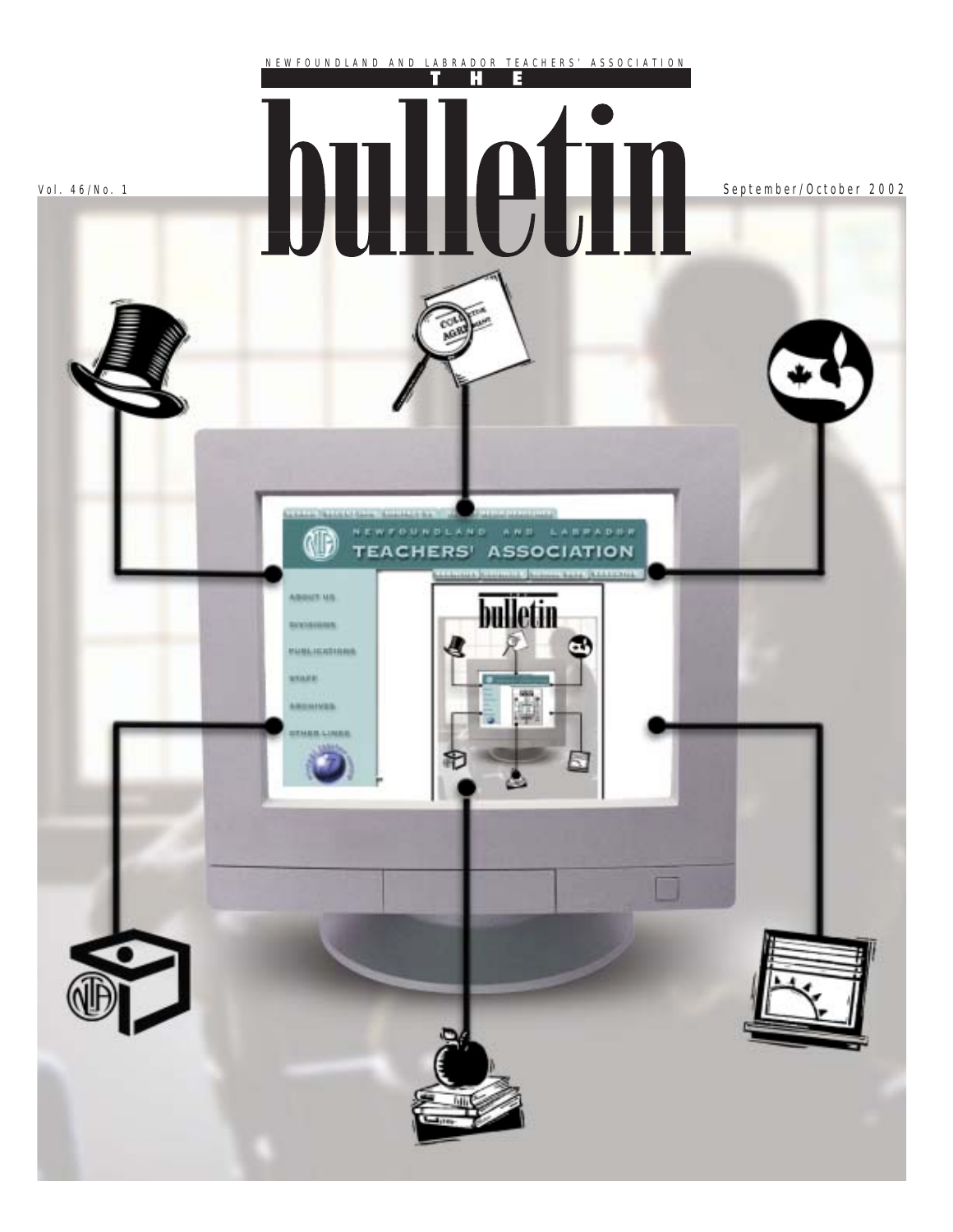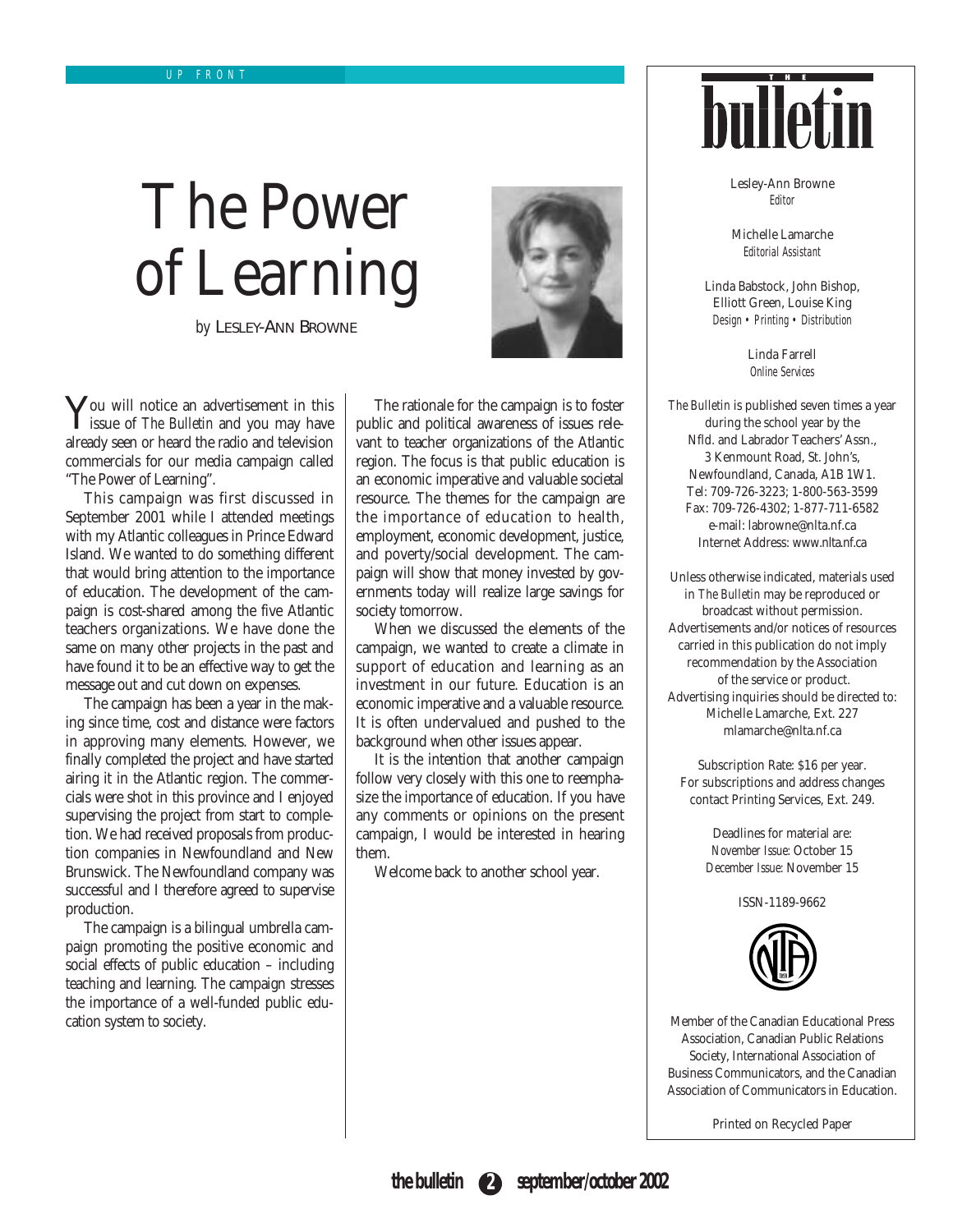# The Power of Learning

*by* LESLEY-ANN BROWNE



**Y**ou will notice an advertisement in this issue of *The Bulletin* and you may have already seen or heard the radio and television commercials for our media campaign called "The Power of Learning".

This campaign was first discussed in September 2001 while I attended meetings with my Atlantic colleagues in Prince Edward Island. We wanted to do something different that would bring attention to the importance of education. The development of the campaign is cost-shared among the five Atlantic teachers organizations. We have done the same on many other projects in the past and have found it to be an effective way to get the message out and cut down on expenses.

The campaign has been a year in the making since time, cost and distance were factors in approving many elements. However, we finally completed the project and have started airing it in the Atlantic region. The commercials were shot in this province and I enjoyed supervising the project from start to completion. We had received proposals from production companies in Newfoundland and New Brunswick. The Newfoundland company was successful and I therefore agreed to supervise production.

The campaign is a bilingual umbrella campaign promoting the positive economic and social effects of public education – including teaching and learning. The campaign stresses the importance of a well-funded public education system to society.

The rationale for the campaign is to foster public and political awareness of issues relevant to teacher organizations of the Atlantic region. The focus is that public education is an economic imperative and valuable societal resource. The themes for the campaign are the importance of education to health, employment, economic development, justice, and poverty/social development. The campaign will show that money invested by governments today will realize large savings for society tomorrow.

When we discussed the elements of the campaign, we wanted to create a climate in support of education and learning as an investment in our future. Education is an economic imperative and a valuable resource. It is often undervalued and pushed to the background when other issues appear.

It is the intention that another campaign follow very closely with this one to reemphasize the importance of education. If you have any comments or opinions on the present campaign, I would be interested in hearing them.

Welcome back to another school year.



Lesley-Ann Browne Editor

Michelle Lamarche Editorial Assistant

Linda Babstock, John Bishop, Elliott Green, Louise King Design • Printing • Distribution

> Linda Farrell Online Services

*The Bulletin* is published seven times a year during the school year by the Nfld. and Labrador Teachers' Assn., 3 Kenmount Road, St. John's, Newfoundland, Canada, A1B 1W1. Tel: 709-726-3223; 1-800-563-3599 Fax: 709-726-4302; 1-877-711-6582 e-mail: labrowne@nlta.nf.ca Internet Address: www.nlta.nf.ca

Unless otherwise indicated, materials used in *The Bulletin* may be reproduced or broadcast without permission. Advertisements and/or notices of resources carried in this publication do not imply recommendation by the Association of the service or product. Advertising inquiries should be directed to: Michelle Lamarche, Ext. 227 mlamarche@nlta.nf.ca

Subscription Rate: \$16 per year. For subscriptions and address changes contact Printing Services, Ext. 249.

> Deadlines for material are: *November Issue:* October 15 *December Issue:* November 15

> > ISSN-1189-9662



Member of the Canadian Educational Press Association, Canadian Public Relations Society, International Association of Business Communicators, and the Canadian Association of Communicators in Education.

Printed on Recycled Paper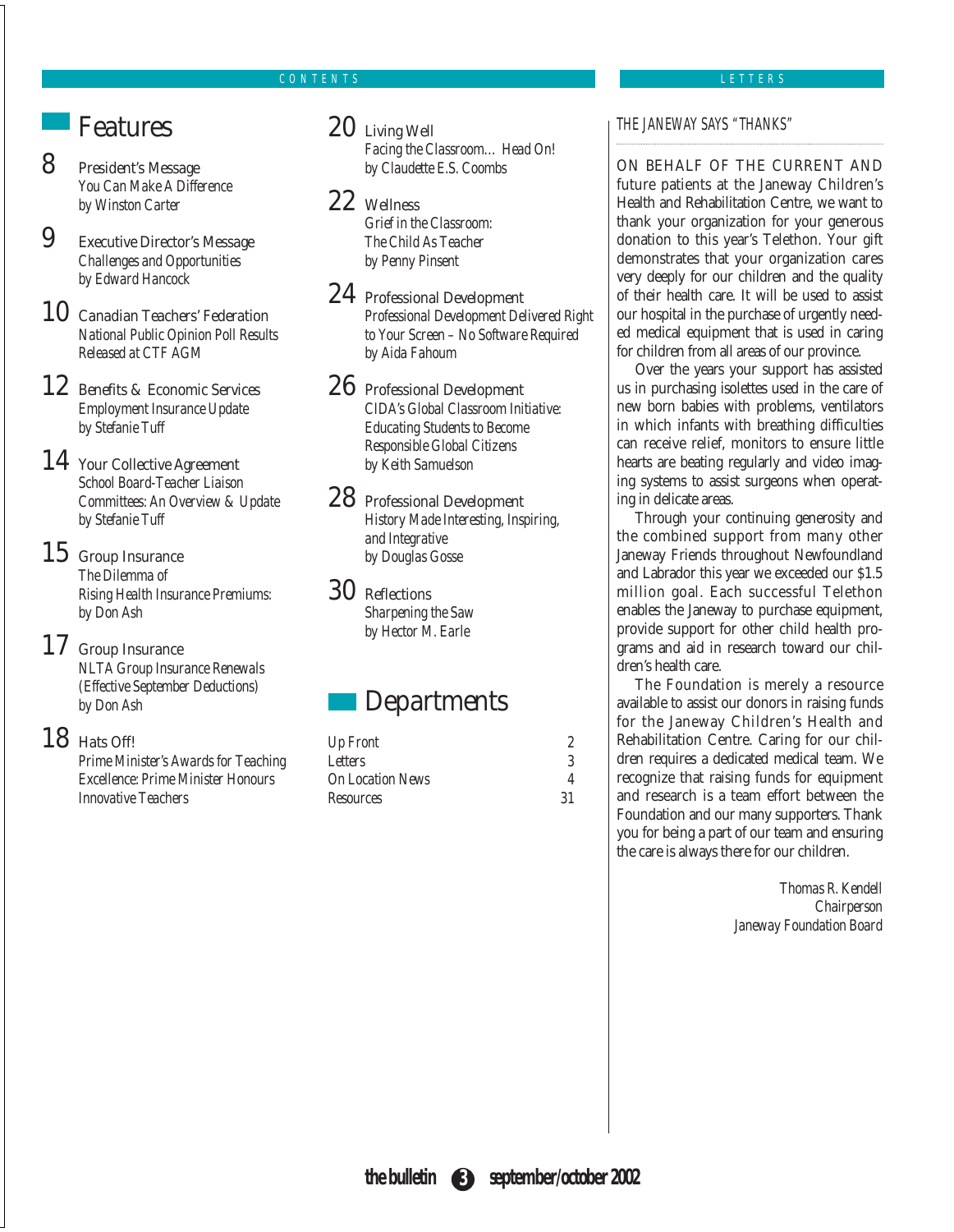### CONTENTS

### LETTERS

### **Features**

8 President's Message *You Can Make A Difference by Winston Carter*

9 Executive Director's Message *Challenges and Opportunities by Edward Hancock*

10 Canadian Teachers' Federation *National Public Opinion Poll Results Released at CTF AGM*

12 Benefits & Economic Services *Employment Insurance Update by Stefanie Tuff*

### 14 Your Collective Agreement

*School Board-Teacher Liaison Committees: An Overview & Update by Stefanie Tuff*

### 15 Group Insurance

*The Dilemma of Rising Health Insurance Premiums: by Don Ash*

### 17 Group Insurance

*NLTA Group Insurance Renewals (Effective September Deductions) by Don Ash*

### 18 Hats Off!

*Prime Minister's Awards for Teaching Excellence: Prime Minister Honours Innovative Teachers*

### 20 Living Well

*Facing the Classroom… Head On! by Claudette E.S. Coombs*

### 22 Wellness

*Grief in the Classroom: The Child As Teacher by Penny Pinsent*

### 24 Professional Development

*Professional Development Delivered Right to Your Screen – No Software Required by Aida Fahoum*

### 26 Professional Development *CIDA's Global Classroom Initiative: Educating Students to Become Responsible Global Citizens*

### 28 Professional Development

*by Keith Samuelson*

*History Made Interesting, Inspiring, and Integrative by Douglas Gosse*

### 30 Reflections

*Sharpening the Saw by Hector M. Earle*

### **Departments**

| Up Front                |     |
|-------------------------|-----|
| Letters                 |     |
| <b>On Location News</b> |     |
| Resources               | -31 |

### THE JANEWAY SAYS "THANKS"

ON BEHALF OF THE CURRENT AND future patients at the Janeway Children's Health and Rehabilitation Centre, we want to thank your organization for your generous donation to this year's Telethon. Your gift demonstrates that your organization cares very deeply for our children and the quality of their health care. It will be used to assist our hospital in the purchase of urgently needed medical equipment that is used in caring for children from all areas of our province.

Over the years your support has assisted us in purchasing isolettes used in the care of new born babies with problems, ventilators in which infants with breathing difficulties can receive relief, monitors to ensure little hearts are beating regularly and video imaging systems to assist surgeons when operating in delicate areas.

Through your continuing generosity and the combined support from many other Janeway Friends throughout Newfoundland and Labrador this year we exceeded our \$1.5 million goal. Each successful Telethon enables the Janeway to purchase equipment, provide support for other child health programs and aid in research toward our children's health care.

The Foundation is merely a resource available to assist our donors in raising funds for the Janeway Children's Health and Rehabilitation Centre. Caring for our children requires a dedicated medical team. We recognize that raising funds for equipment and research is a team effort between the Foundation and our many supporters. Thank you for being a part of our team and ensuring the care is always there for our children.

> *Thomas R. Kendell Chairperson Janeway Foundation Board*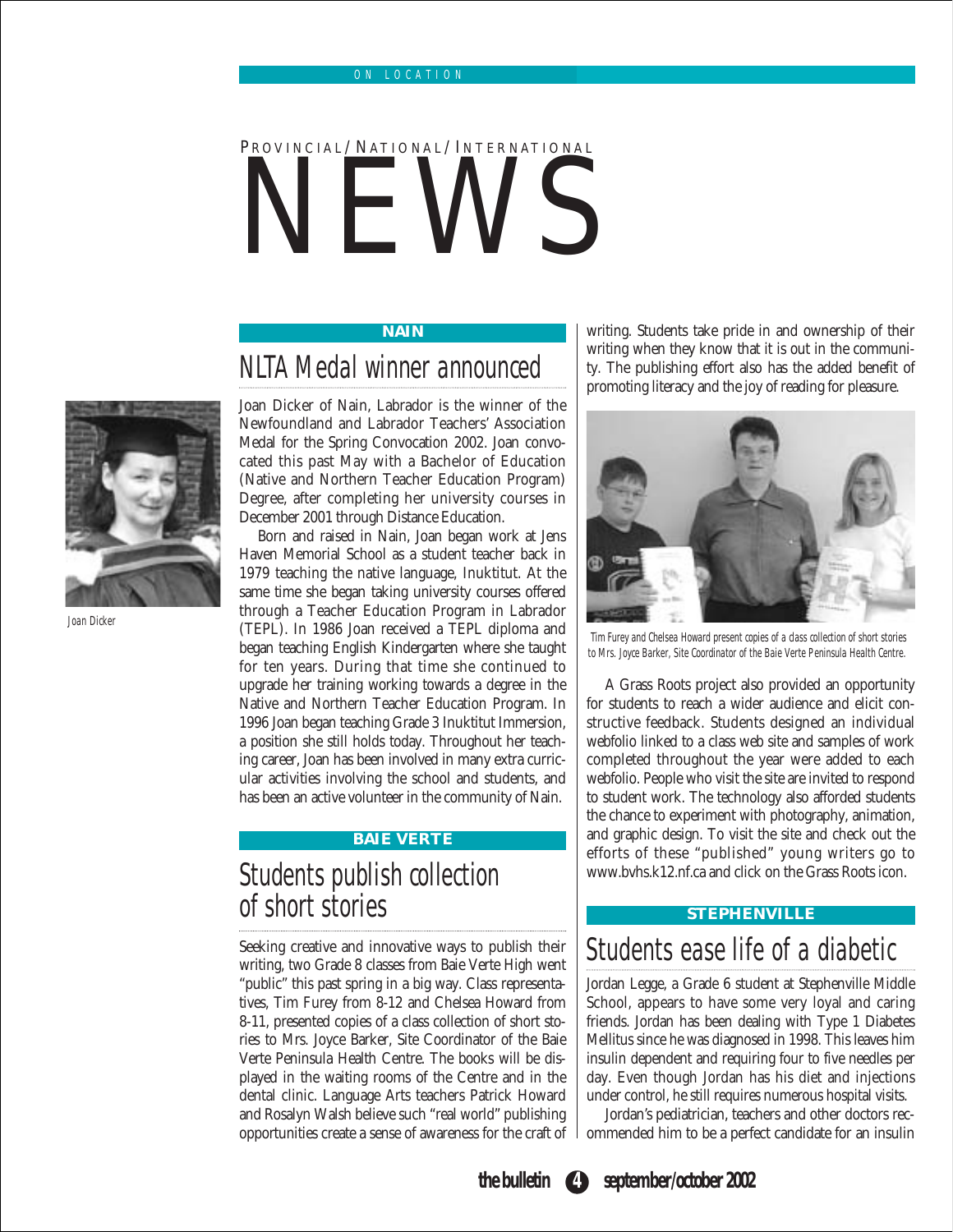# PROVINCIAL/NATIONAL/INTERNATIONAL **NEWS**

### **NAIN**

### NLTA Medal winner announced

Joan Dicker of Nain, Labrador is the winner of the Newfoundland and Labrador Teachers' Association Medal for the Spring Convocation 2002. Joan convocated this past May with a Bachelor of Education (Native and Northern Teacher Education Program) Degree, after completing her university courses in December 2001 through Distance Education.

Born and raised in Nain, Joan began work at Jens Haven Memorial School as a student teacher back in 1979 teaching the native language, Inuktitut. At the same time she began taking university courses offered through a Teacher Education Program in Labrador (TEPL). In 1986 Joan received a TEPL diploma and began teaching English Kindergarten where she taught for ten years. During that time she continued to upgrade her training working towards a degree in the Native and Northern Teacher Education Program. In 1996 Joan began teaching Grade 3 Inuktitut Immersion, a position she still holds today. Throughout her teaching career, Joan has been involved in many extra curricular activities involving the school and students, and has been an active volunteer in the community of Nain.

### **BAIE VERTE**

## Students publish collection of short stories

Seeking creative and innovative ways to publish their writing, two Grade 8 classes from Baie Verte High went "public" this past spring in a big way. Class representatives, Tim Furey from 8-12 and Chelsea Howard from 8-11, presented copies of a class collection of short stories to Mrs. Joyce Barker, Site Coordinator of the Baie Verte Peninsula Health Centre. The books will be displayed in the waiting rooms of the Centre and in the dental clinic. Language Arts teachers Patrick Howard and Rosalyn Walsh believe such "real world" publishing opportunities create a sense of awareness for the craft of

writing. Students take pride in and ownership of their writing when they know that it is out in the community. The publishing effort also has the added benefit of promoting literacy and the joy of reading for pleasure.



Tim Furey and Chelsea Howard present copies of a class collection of short stories to Mrs. Joyce Barker, Site Coordinator of the Baie Verte Peninsula Health Centre.

A Grass Roots project also provided an opportunity for students to reach a wider audience and elicit constructive feedback. Students designed an individual webfolio linked to a class web site and samples of work completed throughout the year were added to each webfolio. People who visit the site are invited to respond to student work. The technology also afforded students the chance to experiment with photography, animation, and graphic design. To visit the site and check out the efforts of these "published" young writers go to www.bvhs.k12.nf.ca and click on the Grass Roots icon.

### **STEPHENVILLE**

### Students ease life of a diabetic

Jordan Legge, a Grade 6 student at Stephenville Middle School, appears to have some very loyal and caring friends. Jordan has been dealing with Type 1 Diabetes Mellitus since he was diagnosed in 1998. This leaves him insulin dependent and requiring four to five needles per day. Even though Jordan has his diet and injections under control, he still requires numerous hospital visits.

Jordan's pediatrician, teachers and other doctors recommended him to be a perfect candidate for an insulin



Joan Dicker

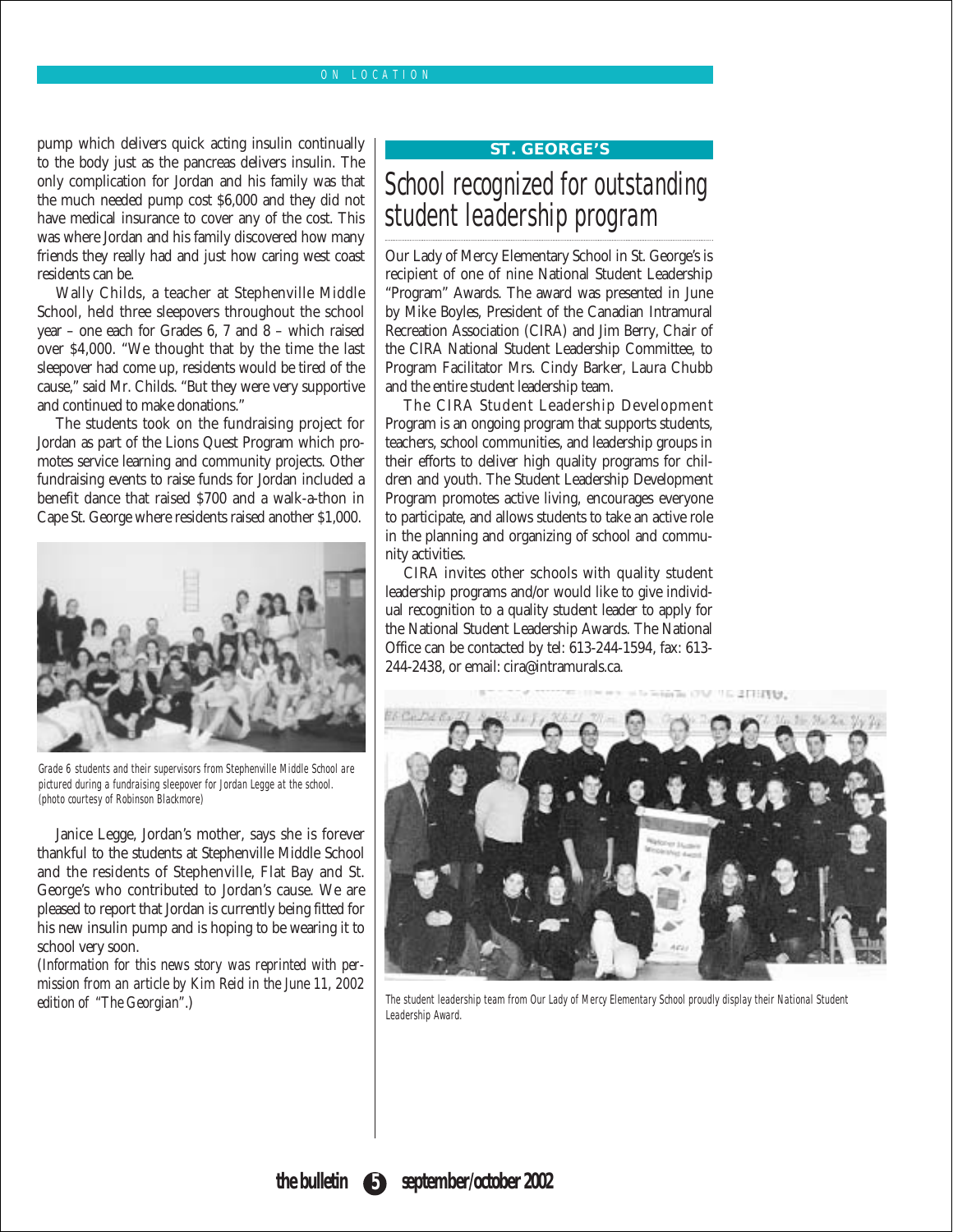### ON LOCATION

pump which delivers quick acting insulin continually to the body just as the pancreas delivers insulin. The only complication for Jordan and his family was that the much needed pump cost \$6,000 and they did not have medical insurance to cover any of the cost. This was where Jordan and his family discovered how many friends they really had and just how caring west coast residents can be.

Wally Childs, a teacher at Stephenville Middle School, held three sleepovers throughout the school year – one each for Grades 6, 7 and 8 – which raised over \$4,000. "We thought that by the time the last sleepover had come up, residents would be tired of the cause," said Mr. Childs. "But they were very supportive and continued to make donations."

The students took on the fundraising project for Jordan as part of the Lions Quest Program which promotes service learning and community projects. Other fundraising events to raise funds for Jordan included a benefit dance that raised \$700 and a walk-a-thon in Cape St. George where residents raised another \$1,000.



Grade 6 students and their supervisors from Stephenville Middle School are pictured during a fundraising sleepover for Jordan Legge at the school. (photo courtesy of Robinson Blackmore)

Janice Legge, Jordan's mother, says she is forever thankful to the students at Stephenville Middle School and the residents of Stephenville, Flat Bay and St. George's who contributed to Jordan's cause. We are pleased to report that Jordan is currently being fitted for his new insulin pump and is hoping to be wearing it to school very soon.

(*Information for this news story was reprinted with permission from an article by Kim Reid in the June 11, 2002 edition of "The Georgian"*.)

#### **ST. GEORGE'S**

## School recognized for outstanding student leadership program

Our Lady of Mercy Elementary School in St. George's is recipient of one of nine National Student Leadership "Program" Awards. The award was presented in June by Mike Boyles, President of the Canadian Intramural Recreation Association (CIRA) and Jim Berry, Chair of the CIRA National Student Leadership Committee, to Program Facilitator Mrs. Cindy Barker, Laura Chubb and the entire student leadership team.

The CIRA Student Leadership Development Program is an ongoing program that supports students, teachers, school communities, and leadership groups in their efforts to deliver high quality programs for children and youth. The Student Leadership Development Program promotes active living, encourages everyone to participate, and allows students to take an active role in the planning and organizing of school and community activities.

CIRA invites other schools with quality student leadership programs and/or would like to give individual recognition to a quality student leader to apply for the National Student Leadership Awards. The National Office can be contacted by tel: 613-244-1594, fax: 613- 244-2438, or email: cira@intramurals.ca.



The student leadership team from Our Lady of Mercy Elementary School proudly display their National Student Leadership Award.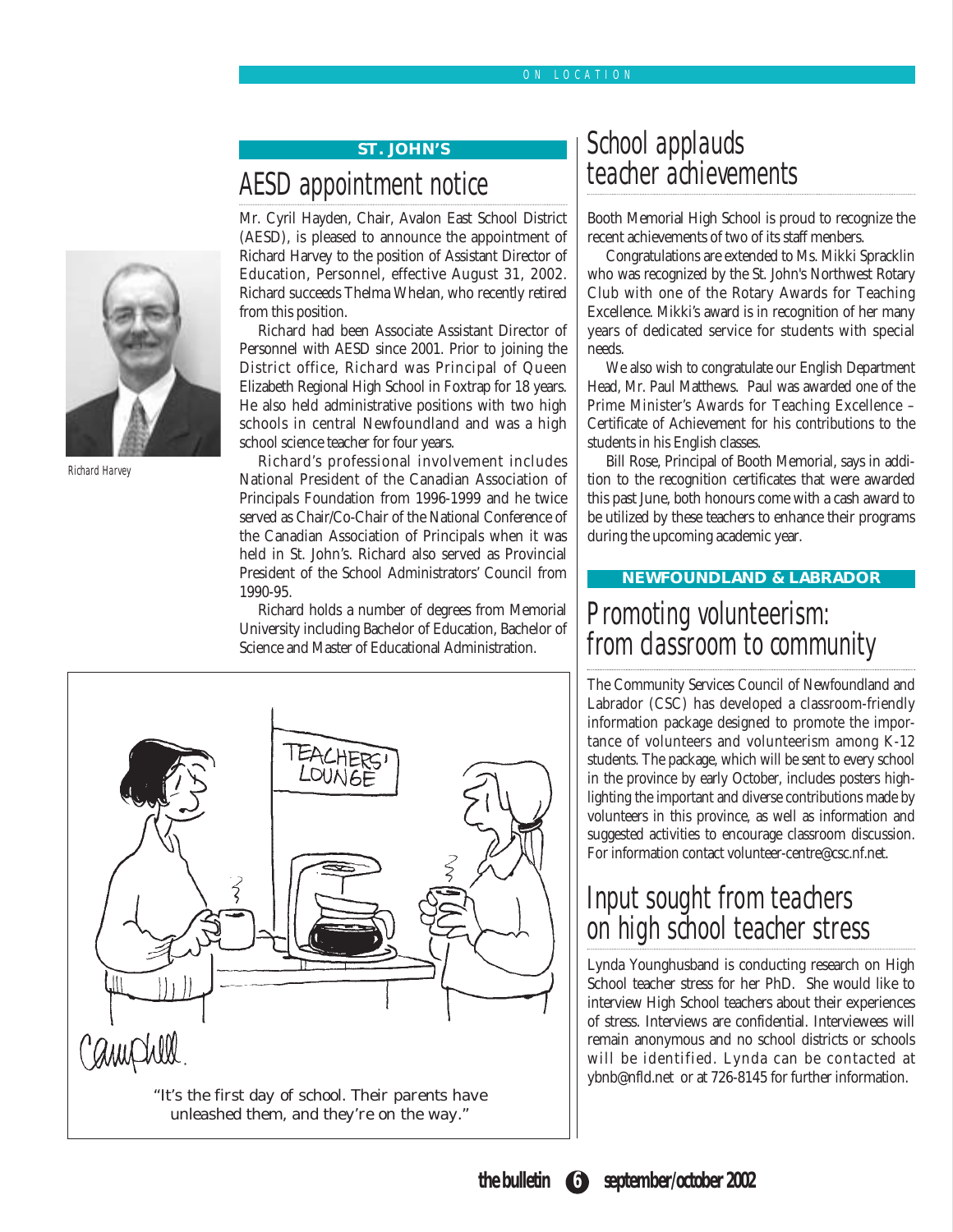### ON LOCATION

### **ST. JOHN'S**

## AESD appointment notice

Mr. Cyril Hayden, Chair, Avalon East School District (AESD), is pleased to announce the appointment of Richard Harvey to the position of Assistant Director of Education, Personnel, effective August 31, 2002. Richard succeeds Thelma Whelan, who recently retired from this position.

Richard had been Associate Assistant Director of Personnel with AESD since 2001. Prior to joining the District office, Richard was Principal of Queen Elizabeth Regional High School in Foxtrap for 18 years. He also held administrative positions with two high schools in central Newfoundland and was a high school science teacher for four years.

Richard's professional involvement includes National President of the Canadian Association of Principals Foundation from 1996-1999 and he twice served as Chair/Co-Chair of the National Conference of the Canadian Association of Principals when it was held in St. John's. Richard also served as Provincial President of the School Administrators' Council from 1990-95.

Richard holds a number of degrees from Memorial University including Bachelor of Education, Bachelor of Science and Master of Educational Administration.

## School applauds teacher achievements

Booth Memorial High School is proud to recognize the recent achievements of two of its staff menbers.

Congratulations are extended to Ms. Mikki Spracklin who was recognized by the St. John's Northwest Rotary Club with one of the Rotary Awards for Teaching Excellence. Mikki's award is in recognition of her many years of dedicated service for students with special needs.

We also wish to congratulate our English Department Head, Mr. Paul Matthews. Paul was awarded one of the Prime Minister's Awards for Teaching Excellence – Certificate of Achievement for his contributions to the students in his English classes.

Bill Rose, Principal of Booth Memorial, says in addition to the recognition certificates that were awarded this past June, both honours come with a cash award to be utilized by these teachers to enhance their programs during the upcoming academic year.

### **NEWFOUNDLAND & LABRADOR**

## Promoting volunteerism: from classroom to community

The Community Services Council of Newfoundland and Labrador (CSC) has developed a classroom-friendly information package designed to promote the importance of volunteers and volunteerism among K-12 students. The package, which will be sent to every school in the province by early October, includes posters highlighting the important and diverse contributions made by volunteers in this province, as well as information and suggested activities to encourage classroom discussion. For information contact volunteer-centre@csc.nf.net.

## Input sought from teachers on high school teacher stress

Lynda Younghusband is conducting research on High School teacher stress for her PhD. She would like to interview High School teachers about their experiences of stress. Interviews are confidential. Interviewees will remain anonymous and no school districts or schools will be identified. Lynda can be contacted at ybnb@nfld.net or at 726-8145 for further information.





Richard Harvey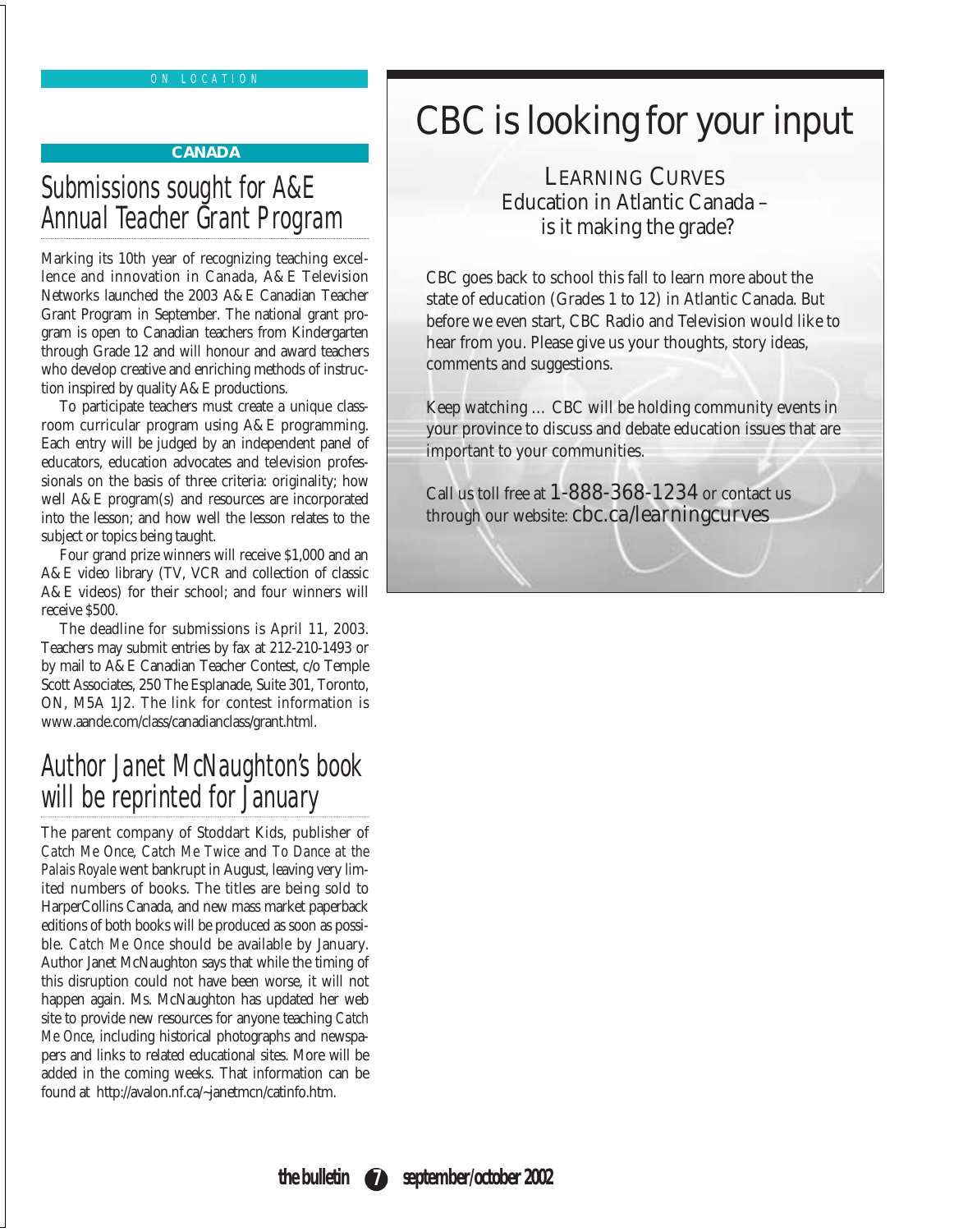### ON LOCATION

### **CANADA**

## Submissions sought for A&E Annual Teacher Grant Program

Marking its 10th year of recognizing teaching excellence and innovation in Canada, A&E Television Networks launched the 2003 A&E Canadian Teacher Grant Program in September. The national grant program is open to Canadian teachers from Kindergarten through Grade 12 and will honour and award teachers who develop creative and enriching methods of instruction inspired by quality A&E productions.

To participate teachers must create a unique classroom curricular program using A&E programming. Each entry will be judged by an independent panel of educators, education advocates and television professionals on the basis of three criteria: originality; how well A&E program(s) and resources are incorporated into the lesson; and how well the lesson relates to the subject or topics being taught.

Four grand prize winners will receive \$1,000 and an A&E video library (TV, VCR and collection of classic A&E videos) for their school; and four winners will receive \$500.

The deadline for submissions is April 11, 2003. Teachers may submit entries by fax at 212-210-1493 or by mail to A&E Canadian Teacher Contest, c/o Temple Scott Associates, 250 The Esplanade, Suite 301, Toronto, ON, M5A 1J2. The link for contest information is www.aande.com/class/canadianclass/grant.html.

## Author Janet McNaughton's book will be reprinted for January

The parent company of Stoddart Kids, publisher of *Catch Me Once, Catch Me Twice* and *To Dance at the Palais Royale* went bankrupt in August, leaving very limited numbers of books. The titles are being sold to HarperCollins Canada, and new mass market paperback editions of both books will be produced as soon as possible. *Catch Me Once* should be available by January. Author Janet McNaughton says that while the timing of this disruption could not have been worse, it will not happen again. Ms. McNaughton has updated her web site to provide new resources for anyone teaching *Catch Me Once*, including historical photographs and newspapers and links to related educational sites. More will be added in the coming weeks. That information can be found at http://avalon.nf.ca/~janetmcn/catinfo.htm.

# CBC is looking for your input

LEARNING CURVES Education in Atlantic Canada – is it making the grade?

CBC goes back to school this fall to learn more about the state of education (Grades 1 to 12) in Atlantic Canada. But before we even start, CBC Radio and Television would like to hear from you. Please give us your thoughts, story ideas, comments and suggestions.

Keep watching … CBC will be holding community events in your province to discuss and debate education issues that are important to your communities.

Call us toll free at  $1 - 888 - 368 - 1234$  or contact us through our website: **cbc.ca/learningcurves**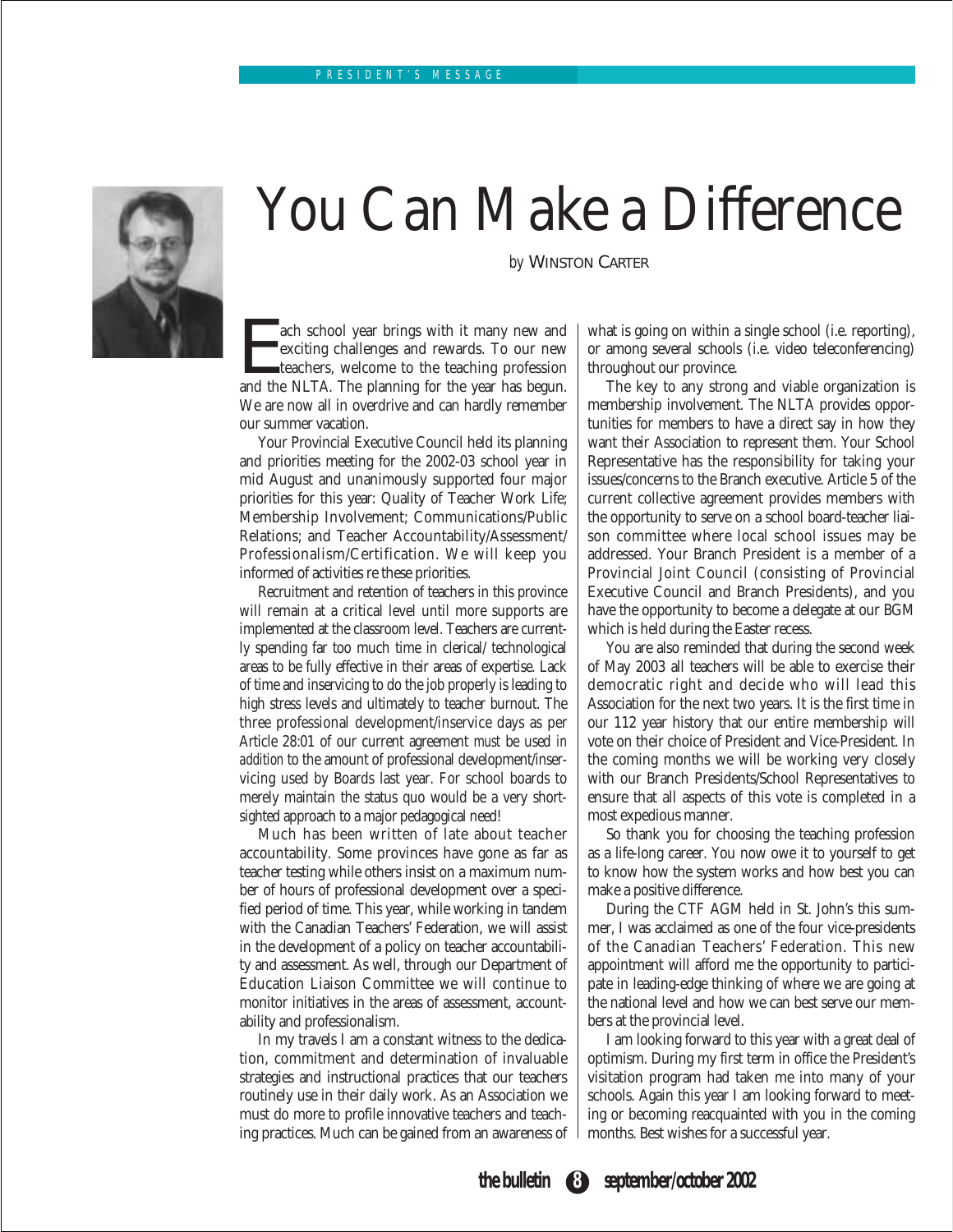

# You Can Make a Difference

*by* WINSTON CARTER

The school year brings with it many new and exciting challenges and rewards. To our new teachers, welcome to the teaching profession and the NLTA. The planning for the year has begun. exciting challenges and rewards. To our new teachers, welcome to the teaching profession and the NLTA. The planning for the year has begun. We are now all in overdrive and can hardly remember our summer vacation.

Your Provincial Executive Council held its planning and priorities meeting for the 2002-03 school year in mid August and unanimously supported four major priorities for this year: Quality of Teacher Work Life; Membership Involvement; Communications/Public Relations; and Teacher Accountability/Assessment/ Professionalism/Certification. We will keep you informed of activities re these priorities.

Recruitment and retention of teachers in this province will remain at a critical level until more supports are implemented at the classroom level. Teachers are currently spending far too much time in clerical/ technological areas to be fully effective in their areas of expertise. Lack of time and inservicing to do the job properly is leading to high stress levels and ultimately to teacher burnout. The three professional development/inservice days as per Article 28:01 of our current agreement *must* be used *in addition* to the amount of professional development/inservicing used by Boards last year. For school boards to merely maintain the status quo would be a very shortsighted approach to a major pedagogical need!

Much has been written of late about teacher accountability. Some provinces have gone as far as teacher testing while others insist on a maximum number of hours of professional development over a specified period of time. This year, while working in tandem with the Canadian Teachers' Federation, we will assist in the development of a policy on teacher accountability and assessment. As well, through our Department of Education Liaison Committee we will continue to monitor initiatives in the areas of assessment, accountability and professionalism.

In my travels I am a constant witness to the dedication, commitment and determination of invaluable strategies and instructional practices that our teachers routinely use in their daily work. As an Association we must do more to profile innovative teachers and teaching practices. Much can be gained from an awareness of what is going on within a single school (i.e. reporting), or among several schools (i.e. video teleconferencing) throughout our province.

The key to any strong and viable organization is membership involvement. The NLTA provides opportunities for members to have a direct say in how they want their Association to represent them. Your School Representative has the responsibility for taking your issues/concerns to the Branch executive. Article 5 of the current collective agreement provides members with the opportunity to serve on a school board-teacher liaison committee where local school issues may be addressed. Your Branch President is a member of a Provincial Joint Council (consisting of Provincial Executive Council and Branch Presidents), and you have the opportunity to become a delegate at our BGM which is held during the Easter recess.

You are also reminded that during the second week of May 2003 all teachers will be able to exercise their democratic right and decide who will lead this Association for the next two years. It is the first time in our 112 year history that our entire membership will vote on their choice of President and Vice-President. In the coming months we will be working very closely with our Branch Presidents/School Representatives to ensure that all aspects of this vote is completed in a most expedious manner.

So thank you for choosing the teaching profession as a life-long career. You now owe it to yourself to get to know how the system works and how best you can make a positive difference.

During the CTF AGM held in St. John's this summer, I was acclaimed as one of the four vice-presidents of the Canadian Teachers' Federation. This new appointment will afford me the opportunity to participate in leading-edge thinking of where we are going at the national level and how we can best serve our members at the provincial level.

I am looking forward to this year with a great deal of optimism. During my first term in office the President's visitation program had taken me into many of your schools. Again this year I am looking forward to meeting or becoming reacquainted with you in the coming months. Best wishes for a successful year.

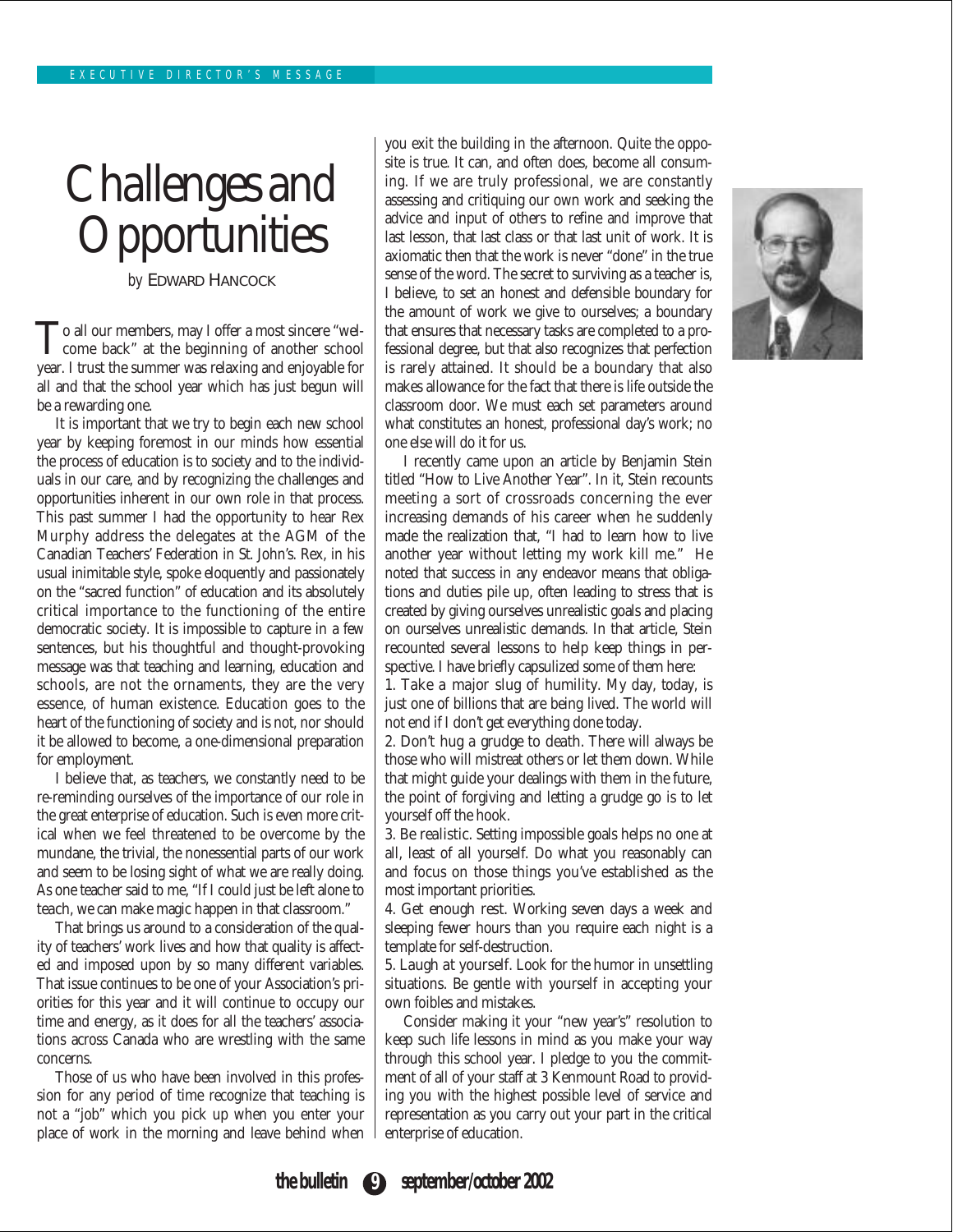# Challenges and **Opportunities**

*by* EDWARD HANCOCK

To all our members, may I offer a most sincere "wel-<br>come back" at the beginning of another school year. I trust the summer was relaxing and enjoyable for all and that the school year which has just begun will be a rewarding one.

It is important that we try to begin each new school year by keeping foremost in our minds how essential the process of education is to society and to the individuals in our care, and by recognizing the challenges and opportunities inherent in our own role in that process. This past summer I had the opportunity to hear Rex Murphy address the delegates at the AGM of the Canadian Teachers' Federation in St. John's. Rex, in his usual inimitable style, spoke eloquently and passionately on the "sacred function" of education and its absolutely critical importance to the functioning of the entire democratic society. It is impossible to capture in a few sentences, but his thoughtful and thought-provoking message was that teaching and learning, education and schools, are not the ornaments, they are the very essence, of human existence. Education goes to the heart of the functioning of society and is not, nor should it be allowed to become, a one-dimensional preparation for employment.

I believe that, as teachers, we constantly need to be re-reminding ourselves of the importance of our role in the great enterprise of education. Such is even more critical when we feel threatened to be overcome by the mundane, the trivial, the nonessential parts of our work and seem to be losing sight of what we are really doing. As one teacher said to me, "If I could just be left alone to teach, we can make magic happen in that classroom."

That brings us around to a consideration of the quality of teachers' work lives and how that quality is affected and imposed upon by so many different variables. That issue continues to be one of your Association's priorities for this year and it will continue to occupy our time and energy, as it does for all the teachers' associations across Canada who are wrestling with the same concerns.

Those of us who have been involved in this profession for any period of time recognize that teaching is not a "job" which you pick up when you enter your place of work in the morning and leave behind when you exit the building in the afternoon. Quite the opposite is true. It can, and often does, become all consuming. If we are truly professional, we are constantly assessing and critiquing our own work and seeking the advice and input of others to refine and improve that last lesson, that last class or that last unit of work. It is axiomatic then that the work is never "done" in the true sense of the word. The secret to surviving as a teacher is, I believe, to set an honest and defensible boundary for the amount of work we give to ourselves; a boundary that ensures that necessary tasks are completed to a professional degree, but that also recognizes that perfection is rarely attained. It should be a boundary that also makes allowance for the fact that there is life outside the classroom door. We must each set parameters around what constitutes an honest, professional day's work; no one else will do it for us.



1. Take a major slug of humility. My day, today, is just one of billions that are being lived. The world will not end if I don't get everything done today.

2. Don't hug a grudge to death. There will always be those who will mistreat others or let them down. While that might guide your dealings with them in the future, the point of forgiving and letting a grudge go is to let yourself off the hook.

3. Be realistic. Setting impossible goals helps no one at all, least of all yourself. Do what you reasonably can and focus on those things you've established as the most important priorities.

4. Get enough rest. Working seven days a week and sleeping fewer hours than you require each night is a template for self-destruction.

5. Laugh at yourself. Look for the humor in unsettling situations. Be gentle with yourself in accepting your own foibles and mistakes.

Consider making it your "new year's" resolution to keep such life lessons in mind as you make your way through this school year. I pledge to you the commitment of all of your staff at 3 Kenmount Road to providing you with the highest possible level of service and representation as you carry out your part in the critical enterprise of education.

**the bulletin 9 september/october 2002**

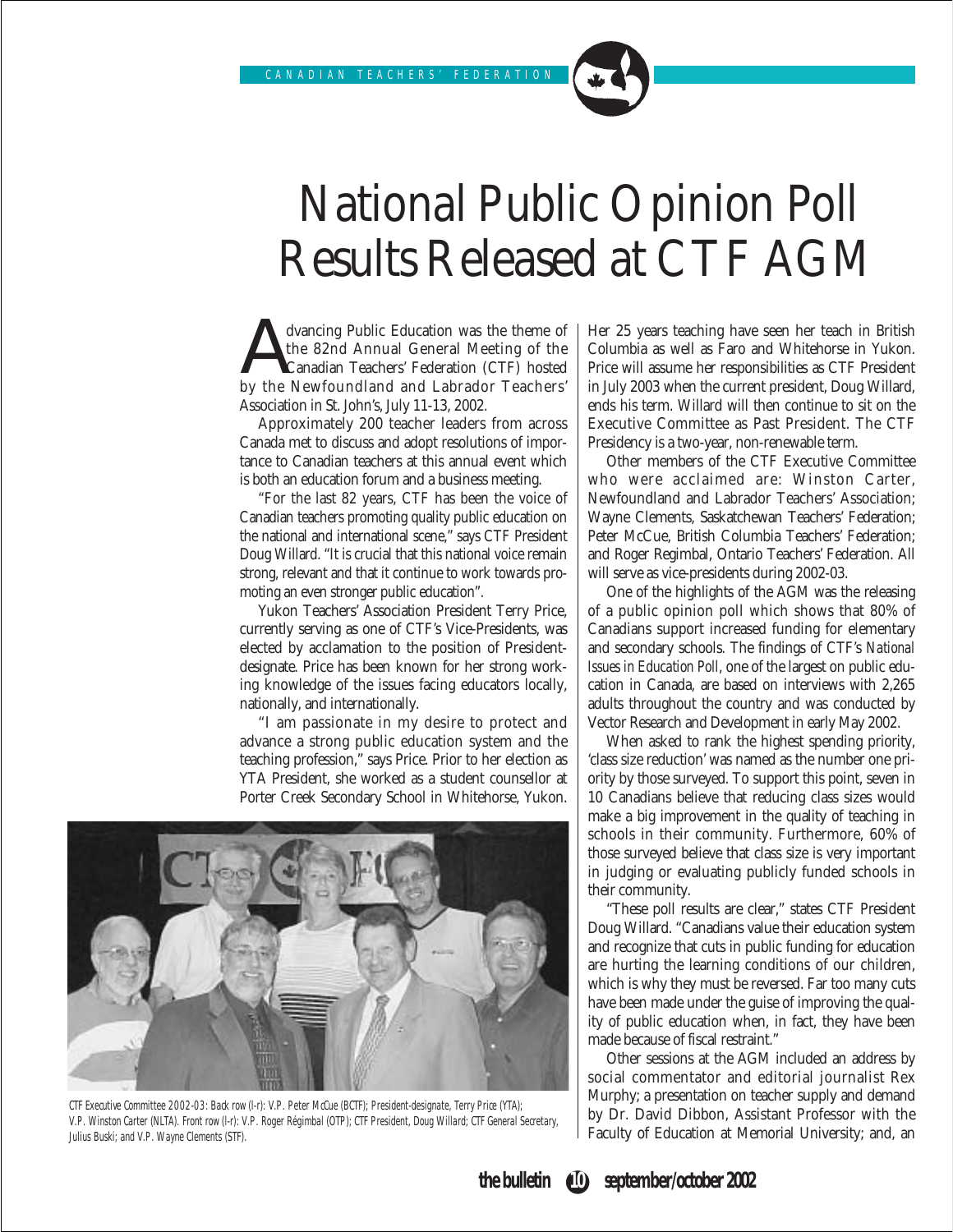# National Public Opinion Poll Results Released at CTF AGM

dvancing Public Education was the theme of<br>the 82nd Annual General Meeting of the<br>by the Newfoundland and Labrador Teachers' the 82nd Annual General Meeting of the Canadian Teachers' Federation (CTF) hosted by the Newfoundland and Labrador Teachers' Association in St. John's, July 11-13, 2002.

Approximately 200 teacher leaders from across Canada met to discuss and adopt resolutions of importance to Canadian teachers at this annual event which is both an education forum and a business meeting.

"For the last 82 years, CTF has been the voice of Canadian teachers promoting quality public education on the national and international scene," says CTF President Doug Willard. "It is crucial that this national voice remain strong, relevant and that it continue to work towards promoting an even stronger public education".

Yukon Teachers' Association President Terry Price, currently serving as one of CTF's Vice-Presidents, was elected by acclamation to the position of Presidentdesignate. Price has been known for her strong working knowledge of the issues facing educators locally, nationally, and internationally.

"I am passionate in my desire to protect and advance a strong public education system and the teaching profession," says Price. Prior to her election as YTA President, she worked as a student counsellor at Porter Creek Secondary School in Whitehorse, Yukon.



CTF Executive Committee 2002-03: Back row (l-r): V.P. Peter McCue (BCTF); President-designate, Terry Price (YTA); V.P. Winston Carter (NLTA). Front row (l-r): V.P. Roger Régimbal (OTP); CTF President, Doug Willard; CTF General Secretary, Julius Buski; and V.P. Wayne Clements (STF).

Her 25 years teaching have seen her teach in British Columbia as well as Faro and Whitehorse in Yukon. Price will assume her responsibilities as CTF President in July 2003 when the current president, Doug Willard, ends his term. Willard will then continue to sit on the Executive Committee as Past President. The CTF Presidency is a two-year, non-renewable term.

Other members of the CTF Executive Committee who were acclaimed are: Winston Carter, Newfoundland and Labrador Teachers' Association; Wayne Clements, Saskatchewan Teachers' Federation; Peter McCue, British Columbia Teachers' Federation; and Roger Regimbal, Ontario Teachers' Federation. All will serve as vice-presidents during 2002-03.

One of the highlights of the AGM was the releasing of a public opinion poll which shows that 80% of Canadians support increased funding for elementary and secondary schools. The findings of CTF's *National Issues in Education Poll*, one of the largest on public education in Canada, are based on interviews with 2,265 adults throughout the country and was conducted by Vector Research and Development in early May 2002.

When asked to rank the highest spending priority, 'class size reduction' was named as the number one priority by those surveyed. To support this point, seven in 10 Canadians believe that reducing class sizes would make a big improvement in the quality of teaching in schools in their community. Furthermore, 60% of those surveyed believe that class size is very important in judging or evaluating publicly funded schools in their community.

"These poll results are clear," states CTF President Doug Willard. "Canadians value their education system and recognize that cuts in public funding for education are hurting the learning conditions of our children, which is why they must be reversed. Far too many cuts have been made under the guise of improving the quality of public education when, in fact, they have been made because of fiscal restraint."

Other sessions at the AGM included an address by social commentator and editorial journalist Rex Murphy; a presentation on teacher supply and demand by Dr. David Dibbon, Assistant Professor with the Faculty of Education at Memorial University; and, an

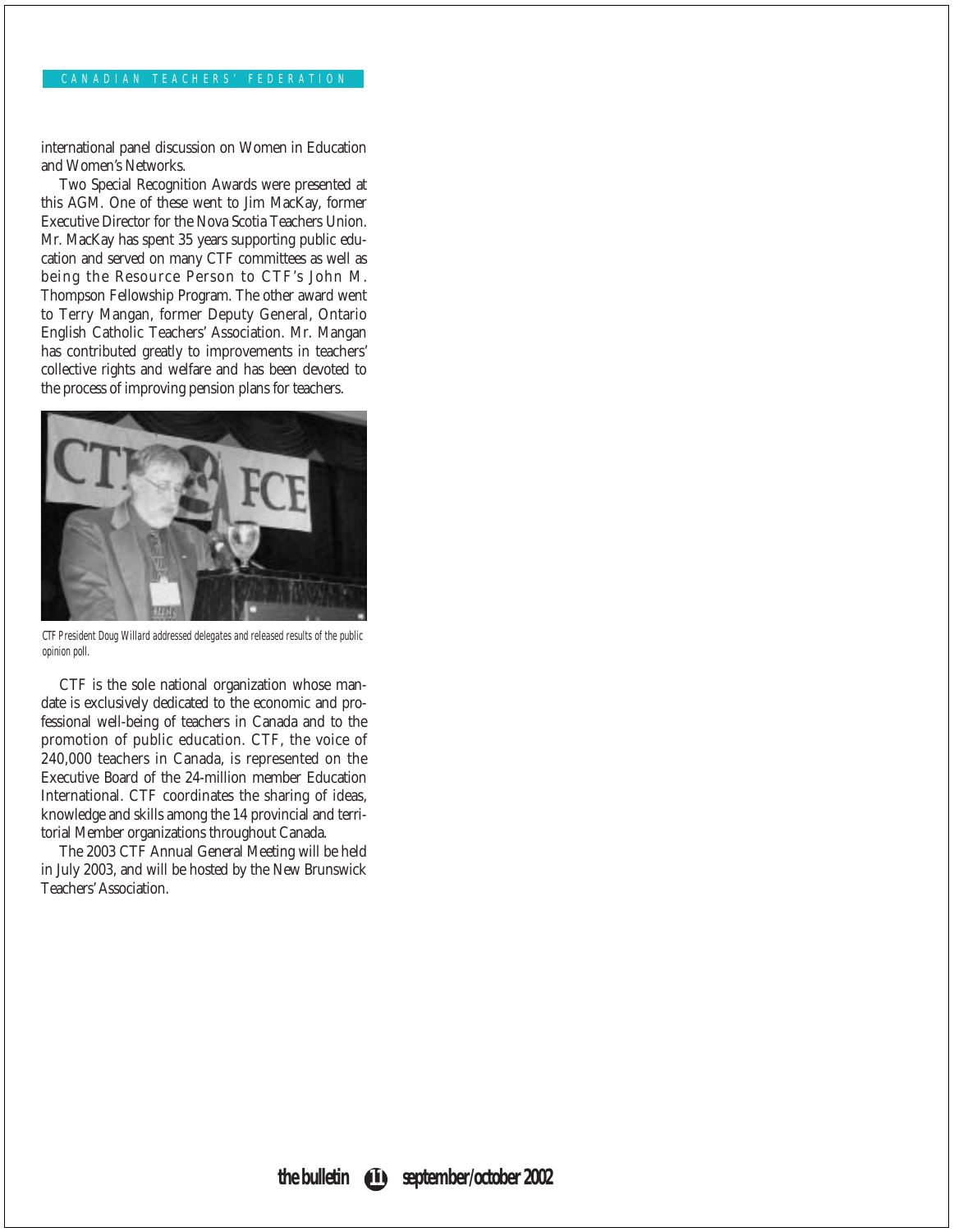#### CANADIAN TEACHERS' FEDERATION

international panel discussion on Women in Education and Women's Networks.

Two Special Recognition Awards were presented at this AGM. One of these went to Jim MacKay, former Executive Director for the Nova Scotia Teachers Union. Mr. MacKay has spent 35 years supporting public education and served on many CTF committees as well as being the Resource Person to CTF's John M. Thompson Fellowship Program. The other award went to Terry Mangan, former Deputy General, Ontario English Catholic Teachers' Association. Mr. Mangan has contributed greatly to improvements in teachers' collective rights and welfare and has been devoted to the process of improving pension plans for teachers.



CTF President Doug Willard addressed delegates and released results of the public opinion poll.

CTF is the sole national organization whose mandate is exclusively dedicated to the economic and professional well-being of teachers in Canada and to the promotion of public education. CTF, the voice of 240,000 teachers in Canada, is represented on the Executive Board of the 24-million member Education International. CTF coordinates the sharing of ideas, knowledge and skills among the 14 provincial and territorial Member organizations throughout Canada.

The 2003 CTF Annual General Meeting will be held in July 2003, and will be hosted by the New Brunswick Teachers' Association.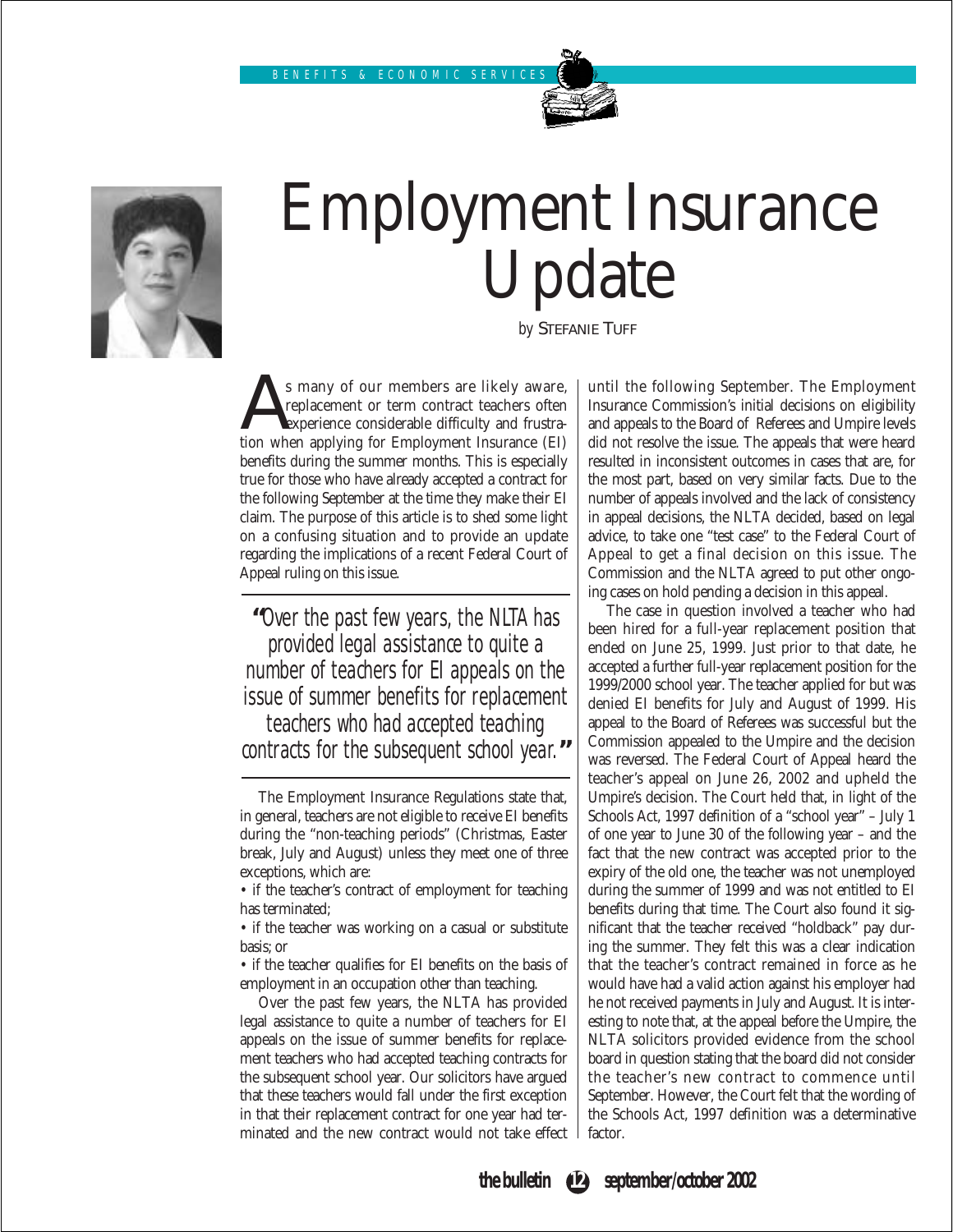

# Employment Insurance Update

*by* STEFANIE TUFF

S many of our members are likely aware,<br>replacement or term contract teachers often<br>tion when applying for Employment Insurance (EI) replacement or term contract teachers often experience considerable difficulty and frustrabenefits during the summer months. This is especially true for those who have already accepted a contract for the following September at the time they make their EI claim. The purpose of this article is to shed some light on a confusing situation and to provide an update regarding the implications of a recent Federal Court of Appeal ruling on this issue.

**"**Over the past few years, the NLTA has provided legal assistance to quite a number of teachers for EI appeals on the issue of summer benefits for replacement teachers who had accepted teaching contracts for the subsequent school year.**"**

• if the teacher was working on a casual or substitute basis; or

• if the teacher qualifies for EI benefits on the basis of employment in an occupation other than teaching.

Over the past few years, the NLTA has provided legal assistance to quite a number of teachers for EI appeals on the issue of summer benefits for replacement teachers who had accepted teaching contracts for the subsequent school year. Our solicitors have argued that these teachers would fall under the first exception in that their replacement contract for one year had terminated and the new contract would not take effect until the following September. The Employment Insurance Commission's initial decisions on eligibility and appeals to the Board of Referees and Umpire levels did not resolve the issue. The appeals that were heard resulted in inconsistent outcomes in cases that are, for the most part, based on very similar facts. Due to the number of appeals involved and the lack of consistency in appeal decisions, the NLTA decided, based on legal advice, to take one "test case" to the Federal Court of Appeal to get a final decision on this issue. The Commission and the NLTA agreed to put other ongoing cases on hold pending a decision in this appeal.

The case in question involved a teacher who had been hired for a full-year replacement position that ended on June 25, 1999. Just prior to that date, he accepted a further full-year replacement position for the 1999/2000 school year. The teacher applied for but was denied EI benefits for July and August of 1999. His appeal to the Board of Referees was successful but the Commission appealed to the Umpire and the decision was reversed. The Federal Court of Appeal heard the teacher's appeal on June 26, 2002 and upheld the Umpire's decision. The Court held that, in light of the Schools Act, 1997 definition of a "school year" – July 1 of one year to June 30 of the following year – and the fact that the new contract was accepted prior to the expiry of the old one, the teacher was not unemployed during the summer of 1999 and was not entitled to EI benefits during that time. The Court also found it significant that the teacher received "holdback" pay during the summer. They felt this was a clear indication that the teacher's contract remained in force as he would have had a valid action against his employer had he not received payments in July and August. It is interesting to note that, at the appeal before the Umpire, the NLTA solicitors provided evidence from the school board in question stating that the board did not consider the teacher's new contract to commence until September. However, the Court felt that the wording of the Schools Act, 1997 definition was a determinative factor.



The Employment Insurance Regulations state that, in general, teachers are not eligible to receive EI benefits during the "non-teaching periods" (Christmas, Easter break, July and August) unless they meet one of three exceptions, which are:

<sup>•</sup> if the teacher's contract of employment for teaching has terminated;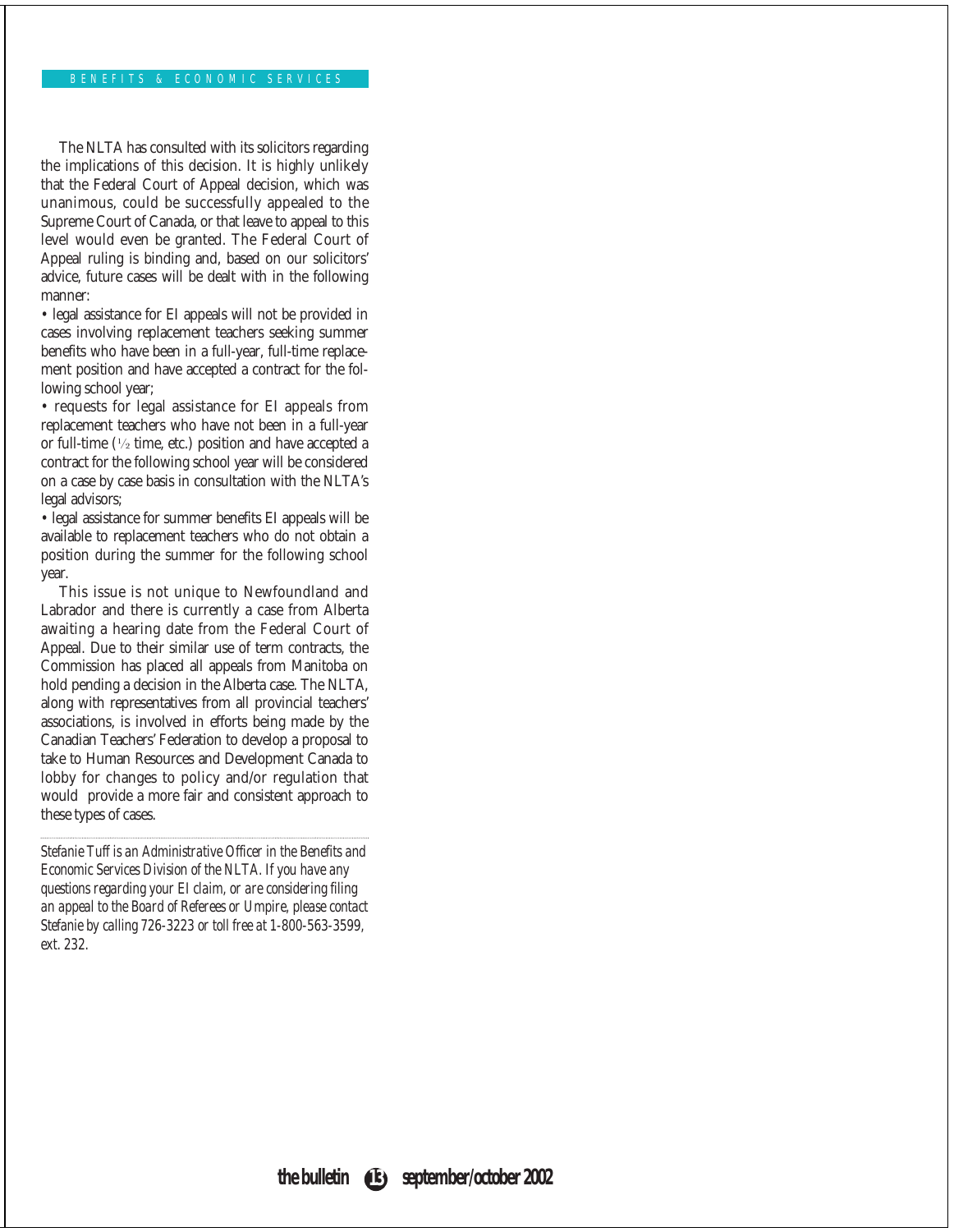The NLTA has consulted with its solicitors regarding the implications of this decision. It is highly unlikely that the Federal Court of Appeal decision, which was unanimous, could be successfully appealed to the Supreme Court of Canada, or that leave to appeal to this level would even be granted. The Federal Court of Appeal ruling is binding and, based on our solicitors' advice, future cases will be dealt with in the following manner:

• legal assistance for EI appeals will not be provided in cases involving replacement teachers seeking summer benefits who have been in a full-year, full-time replacement position and have accepted a contract for the following school year;

• requests for legal assistance for EI appeals from replacement teachers who have not been in a full-year or full-time (½ time, etc.) position and have accepted a contract for the following school year will be considered on a case by case basis in consultation with the NLTA's legal advisors;

• legal assistance for summer benefits EI appeals will be available to replacement teachers who do not obtain a position during the summer for the following school year.

This issue is not unique to Newfoundland and Labrador and there is currently a case from Alberta awaiting a hearing date from the Federal Court of Appeal. Due to their similar use of term contracts, the Commission has placed all appeals from Manitoba on hold pending a decision in the Alberta case. The NLTA, along with representatives from all provincial teachers' associations, is involved in efforts being made by the Canadian Teachers' Federation to develop a proposal to take to Human Resources and Development Canada to lobby for changes to policy and/or regulation that would provide a more fair and consistent approach to these types of cases.

*Stefanie Tuff is an Administrative Officer in the Benefits and Economic Services Division of the NLTA. If you have any questions regarding your EI claim, or are considering filing an appeal to the Board of Referees or Umpire, please contact Stefanie by calling 726-3223 or toll free at 1-800-563-3599, ext. 232.*

**the bulletin 13 september/october 2002**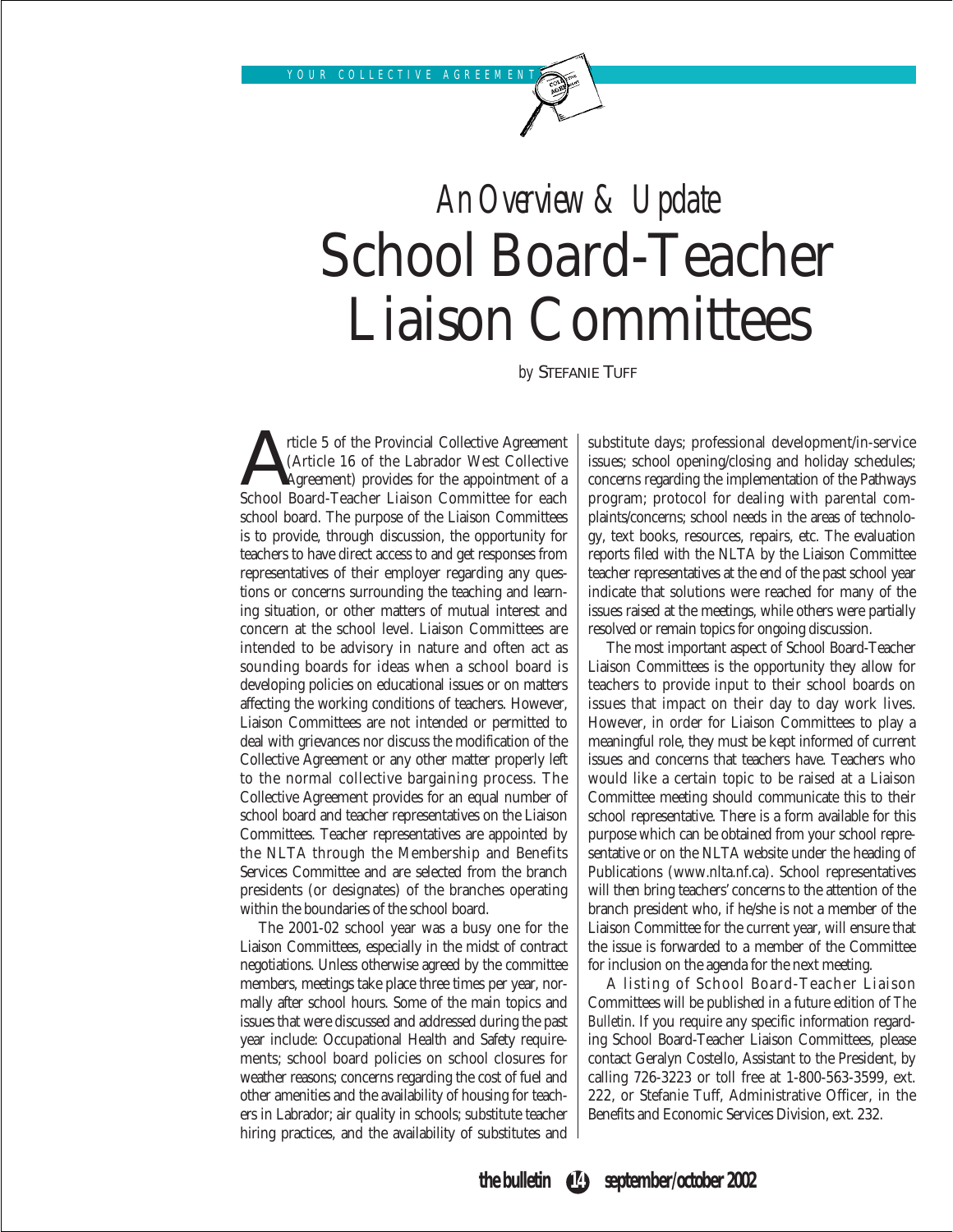# *An Overview & Update* School Board-Teacher Liaison Committees

*by* STEFANIE TUFF

Article 5 of the Provincial Collective Agreement<br>
(Article 16 of the Labrador West Collective<br>
School Board-Teacher Liaison Committee for each (Article 16 of the Labrador West Collective Agreement) provides for the appointment of a school board. The purpose of the Liaison Committees is to provide, through discussion, the opportunity for teachers to have direct access to and get responses from representatives of their employer regarding any questions or concerns surrounding the teaching and learning situation, or other matters of mutual interest and concern at the school level. Liaison Committees are intended to be advisory in nature and often act as sounding boards for ideas when a school board is developing policies on educational issues or on matters affecting the working conditions of teachers. However, Liaison Committees are not intended or permitted to deal with grievances nor discuss the modification of the Collective Agreement or any other matter properly left to the normal collective bargaining process. The Collective Agreement provides for an equal number of school board and teacher representatives on the Liaison Committees. Teacher representatives are appointed by the NLTA through the Membership and Benefits Services Committee and are selected from the branch presidents (or designates) of the branches operating within the boundaries of the school board.

The 2001-02 school year was a busy one for the Liaison Committees, especially in the midst of contract negotiations. Unless otherwise agreed by the committee members, meetings take place three times per year, normally after school hours. Some of the main topics and issues that were discussed and addressed during the past year include: Occupational Health and Safety requirements; school board policies on school closures for weather reasons; concerns regarding the cost of fuel and other amenities and the availability of housing for teachers in Labrador; air quality in schools; substitute teacher hiring practices, and the availability of substitutes and substitute days; professional development/in-service issues; school opening/closing and holiday schedules; concerns regarding the implementation of the Pathways program; protocol for dealing with parental complaints/concerns; school needs in the areas of technology, text books, resources, repairs, etc. The evaluation reports filed with the NLTA by the Liaison Committee teacher representatives at the end of the past school year indicate that solutions were reached for many of the issues raised at the meetings, while others were partially resolved or remain topics for ongoing discussion.

The most important aspect of School Board-Teacher Liaison Committees is the opportunity they allow for teachers to provide input to their school boards on issues that impact on their day to day work lives. However, in order for Liaison Committees to play a meaningful role, they must be kept informed of current issues and concerns that teachers have. Teachers who would like a certain topic to be raised at a Liaison Committee meeting should communicate this to their school representative. There is a form available for this purpose which can be obtained from your school representative or on the NLTA website under the heading of Publications (www.nlta.nf.ca). School representatives will then bring teachers' concerns to the attention of the branch president who, if he/she is not a member of the Liaison Committee for the current year, will ensure that the issue is forwarded to a member of the Committee for inclusion on the agenda for the next meeting.

A listing of School Board-Teacher Liaison Committees will be published in a future edition of *The Bulletin*. If you require any specific information regarding School Board-Teacher Liaison Committees, please contact Geralyn Costello, Assistant to the President, by calling 726-3223 or toll free at 1-800-563-3599, ext. 222, or Stefanie Tuff, Administrative Officer, in the Benefits and Economic Services Division, ext. 232.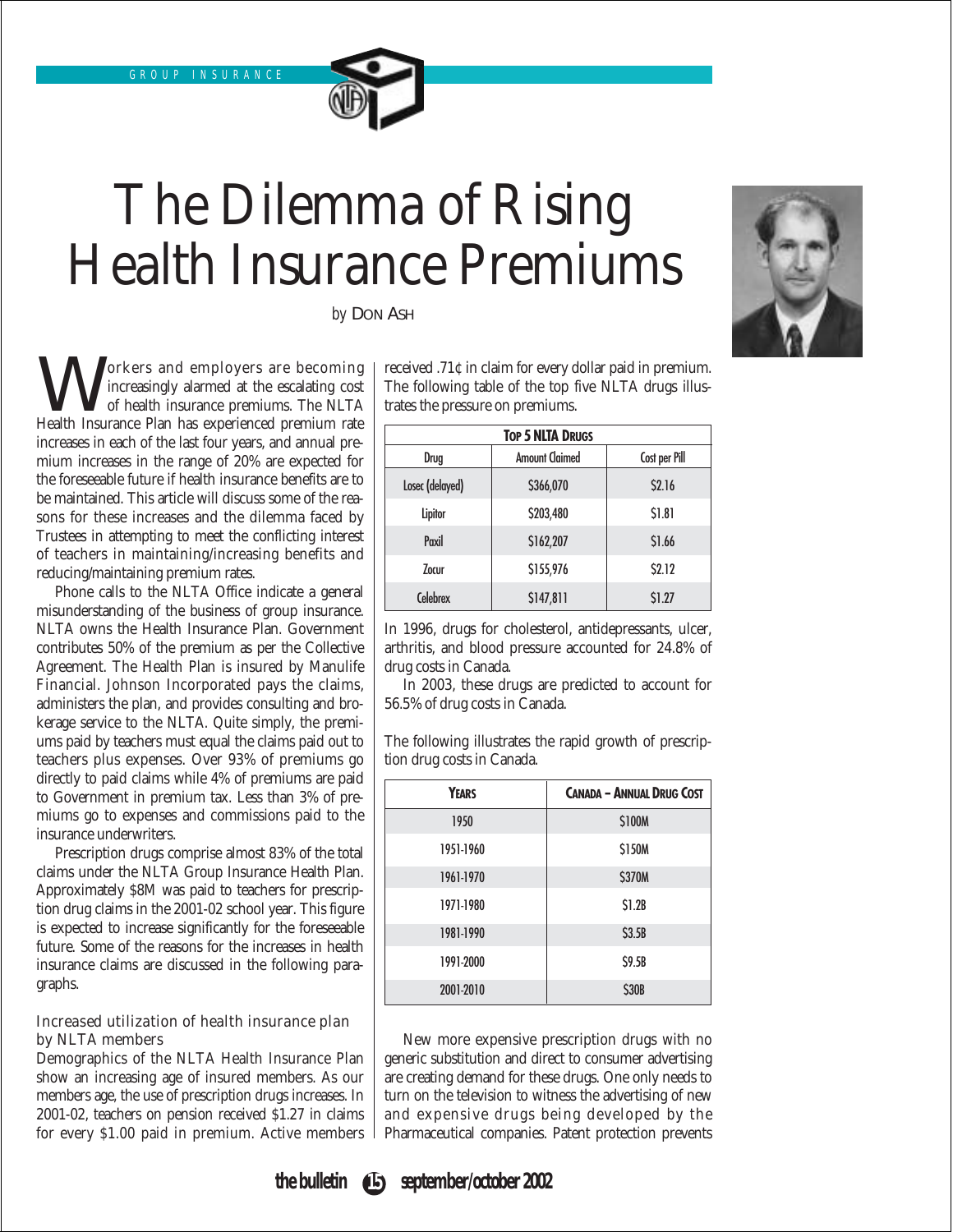# The Dilemma of Rising Health Insurance Premiums

*by* DON ASH

Workers and employers are becoming<br>
of health insurance premiums. The NLTA<br>
Health Insurance Plan has experienced premium rate increasingly alarmed at the escalating cost of health insurance premiums. The NLTA increases in each of the last four years, and annual premium increases in the range of 20% are expected for the foreseeable future if health insurance benefits are to be maintained. This article will discuss some of the reasons for these increases and the dilemma faced by Trustees in attempting to meet the conflicting interest of teachers in maintaining/increasing benefits and reducing/maintaining premium rates.

Phone calls to the NLTA Office indicate a general misunderstanding of the business of group insurance. NLTA owns the Health Insurance Plan. Government contributes 50% of the premium as per the Collective Agreement. The Health Plan is insured by Manulife Financial. Johnson Incorporated pays the claims, administers the plan, and provides consulting and brokerage service to the NLTA. Quite simply, the premiums paid by teachers must equal the claims paid out to teachers plus expenses. Over 93% of premiums go directly to paid claims while 4% of premiums are paid to Government in premium tax. Less than 3% of premiums go to expenses and commissions paid to the insurance underwriters.

Prescription drugs comprise almost 83% of the total claims under the NLTA Group Insurance Health Plan. Approximately \$8M was paid to teachers for prescription drug claims in the 2001-02 school year. This figure is expected to increase significantly for the foreseeable future. Some of the reasons for the increases in health insurance claims are discussed in the following paragraphs.

### Increased utilization of health insurance plan by NLTA members

Demographics of the NLTA Health Insurance Plan show an increasing age of insured members. As our members age, the use of prescription drugs increases. In 2001-02, teachers on pension received \$1.27 in claims for every \$1.00 paid in premium. Active members received .71¢ in claim for every dollar paid in premium. The following table of the top five NLTA drugs illustrates the pressure on premiums.

| <b>TOP 5 NLTA DRUGS</b> |                       |               |  |
|-------------------------|-----------------------|---------------|--|
| Drug                    | <b>Amount Claimed</b> | Cost per Pill |  |
| Losec (delayed)         | \$366,070             | <b>S2.16</b>  |  |
| Lipitor                 | \$203,480             | \$1.81        |  |
| Paxil                   | \$162,207             | \$1.66        |  |
| <b>Zocur</b>            | \$155,976             | <b>S2.12</b>  |  |
| <b>Celebrex</b>         | \$147,811             | \$1.27        |  |

In 1996, drugs for cholesterol, antidepressants, ulcer, arthritis, and blood pressure accounted for 24.8% of drug costs in Canada.

In 2003, these drugs are predicted to account for 56.5% of drug costs in Canada.

The following illustrates the rapid growth of prescription drug costs in Canada.

| YEARS     | <b>CANADA - ANNUAL DRUG COST</b> |
|-----------|----------------------------------|
| 1950      | <b>S100M</b>                     |
| 1951-1960 | <b>S150M</b>                     |
| 1961-1970 | <b>S370M</b>                     |
| 1971-1980 | S1.2B                            |
| 1981-1990 | S3.5B                            |
| 1991-2000 | S9.5B                            |
| 2001-2010 | <b>\$30B</b>                     |

New more expensive prescription drugs with no generic substitution and direct to consumer advertising are creating demand for these drugs. One only needs to turn on the television to witness the advertising of new and expensive drugs being developed by the Pharmaceutical companies. Patent protection prevents



**the bulletin 15 september/october 2002**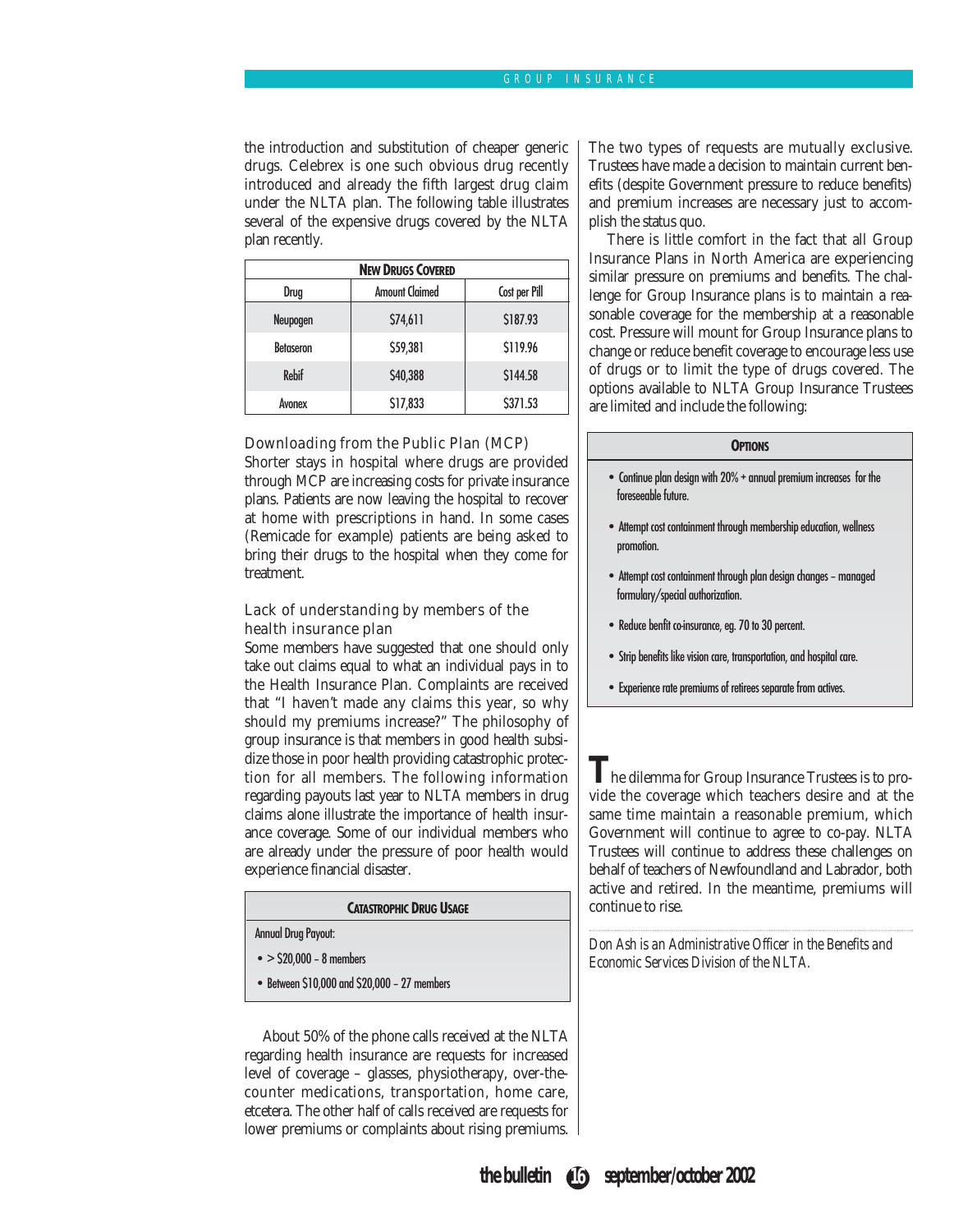### GROUP INSURANCE

the introduction and substitution of cheaper generic drugs. Celebrex is one such obvious drug recently introduced and already the fifth largest drug claim under the NLTA plan. The following table illustrates several of the expensive drugs covered by the NLTA plan recently.

| <b>NEW DRUGS COVERED</b> |                       |               |
|--------------------------|-----------------------|---------------|
| Drug                     | <b>Amount Claimed</b> | Cost per Pill |
| Neupogen                 | \$74,611              | \$187.93      |
| <b>Betaseron</b>         | \$59,381              | S119.96       |
| <b>Rebif</b>             | \$40,388              | S144.58       |
| Avonex                   | \$17,833              | \$371.53      |

### Downloading from the Public Plan (MCP)

Shorter stays in hospital where drugs are provided through MCP are increasing costs for private insurance plans. Patients are now leaving the hospital to recover at home with prescriptions in hand. In some cases (Remicade for example) patients are being asked to bring their drugs to the hospital when they come for treatment.

### Lack of understanding by members of the health insurance plan

Some members have suggested that one should only take out claims equal to what an individual pays in to the Health Insurance Plan. Complaints are received that "I haven't made any claims this year, so why should my premiums increase?" The philosophy of group insurance is that members in good health subsidize those in poor health providing catastrophic protection for all members. The following information regarding payouts last year to NLTA members in drug claims alone illustrate the importance of health insurance coverage. Some of our individual members who are already under the pressure of poor health would experience financial disaster.

#### **CATASTROPHIC DRUG USAGE**

Annual Drug Payout:

- $\bullet$  > \$20,000 8 members
- Between \$10,000 and \$20,000 27 members

About 50% of the phone calls received at the NLTA regarding health insurance are requests for increased level of coverage – glasses, physiotherapy, over-thecounter medications, transportation, home care, etcetera. The other half of calls received are requests for lower premiums or complaints about rising premiums. The two types of requests are mutually exclusive. Trustees have made a decision to maintain current benefits (despite Government pressure to reduce benefits) and premium increases are necessary just to accomplish the status quo.

There is little comfort in the fact that all Group Insurance Plans in North America are experiencing similar pressure on premiums and benefits. The challenge for Group Insurance plans is to maintain a reasonable coverage for the membership at a reasonable cost. Pressure will mount for Group Insurance plans to change or reduce benefit coverage to encourage less use of drugs or to limit the type of drugs covered. The options available to NLTA Group Insurance Trustees are limited and include the following:

#### **OPTIONS**

- Continue plan design with 20% + annual premium increases for the foreseeable future.
- Attempt cost containment through membership education, wellness promotion.
- Attempt cost containment through plan design changes managed formulary/special authorization.
- Reduce benfit co-insurance, eg. 70 to 30 percent.
- Strip benefits like vision care, transportation, and hospital care.
- Experience rate premiums of retirees separate from actives.

**T**he dilemma for Group Insurance Trustees is to provide the coverage which teachers desire and at the same time maintain a reasonable premium, which Government will continue to agree to co-pay. NLTA Trustees will continue to address these challenges on behalf of teachers of Newfoundland and Labrador, both active and retired. In the meantime, premiums will continue to rise.

*Don Ash is an Administrative Officer in the Benefits and Economic Services Division of the NLTA.*

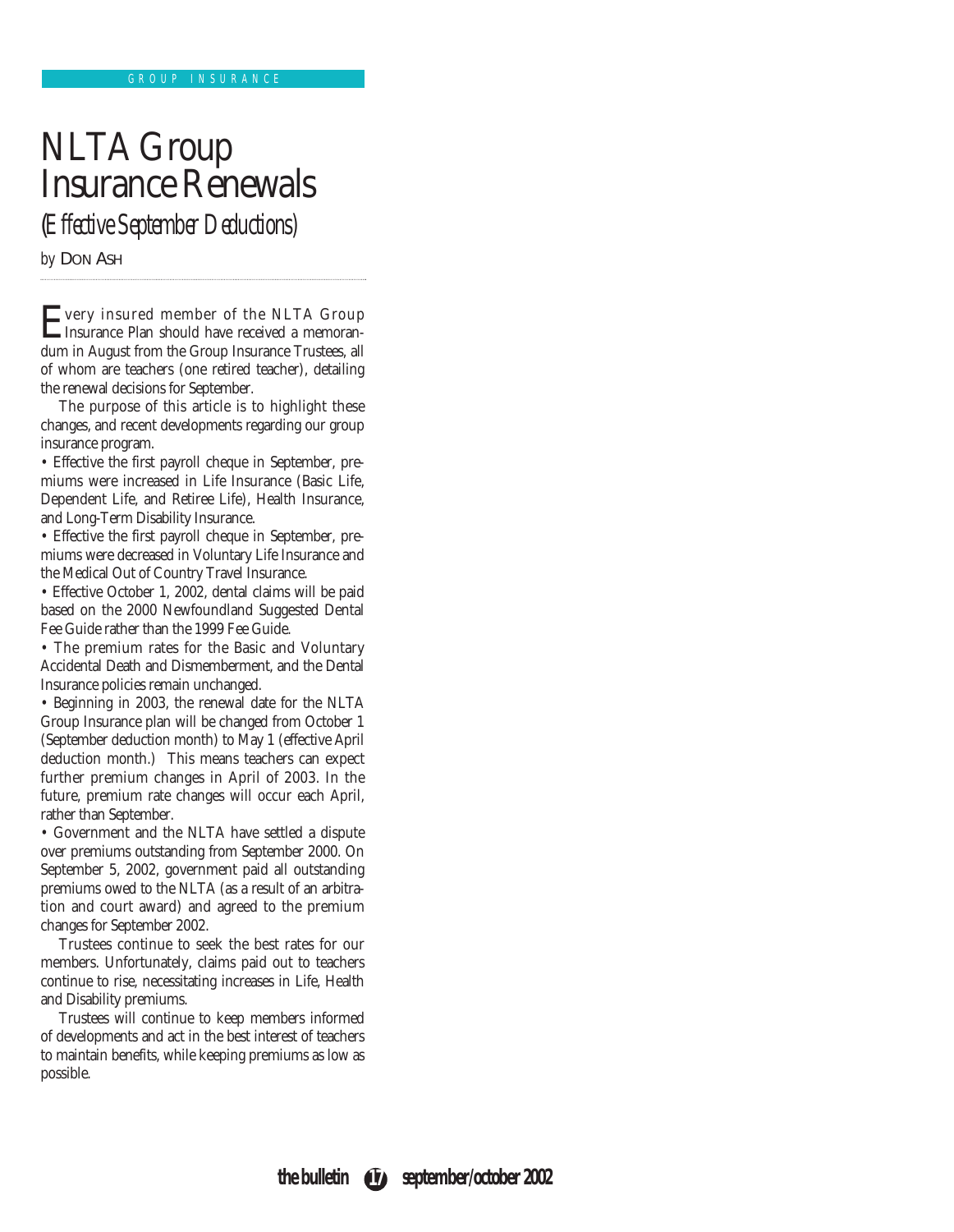# NLTA Group Insurance Renewals (*Effective September Deductions)*

*by* DON ASH

Every insured member of the NLTA Group Insurance Plan should have received a memorandum in August from the Group Insurance Trustees, all of whom are teachers (one retired teacher), detailing the renewal decisions for September.

The purpose of this article is to highlight these changes, and recent developments regarding our group insurance program.

• Effective the first payroll cheque in September, premiums were increased in Life Insurance (Basic Life, Dependent Life, and Retiree Life), Health Insurance, and Long-Term Disability Insurance.

• Effective the first payroll cheque in September, premiums were decreased in Voluntary Life Insurance and the Medical Out of Country Travel Insurance.

• Effective October 1, 2002, dental claims will be paid based on the 2000 Newfoundland Suggested Dental Fee Guide rather than the 1999 Fee Guide.

• The premium rates for the Basic and Voluntary Accidental Death and Dismemberment, and the Dental Insurance policies remain unchanged.

• Beginning in 2003, the renewal date for the NLTA Group Insurance plan will be changed from October 1 (September deduction month) to May 1 (effective April deduction month.) This means teachers can expect further premium changes in April of 2003. In the future, premium rate changes will occur each April, rather than September.

• Government and the NLTA have settled a dispute over premiums outstanding from September 2000. On September 5, 2002, government paid all outstanding premiums owed to the NLTA (as a result of an arbitration and court award) and agreed to the premium changes for September 2002.

Trustees continue to seek the best rates for our members. Unfortunately, claims paid out to teachers continue to rise, necessitating increases in Life, Health and Disability premiums.

Trustees will continue to keep members informed of developments and act in the best interest of teachers to maintain benefits, while keeping premiums as low as possible.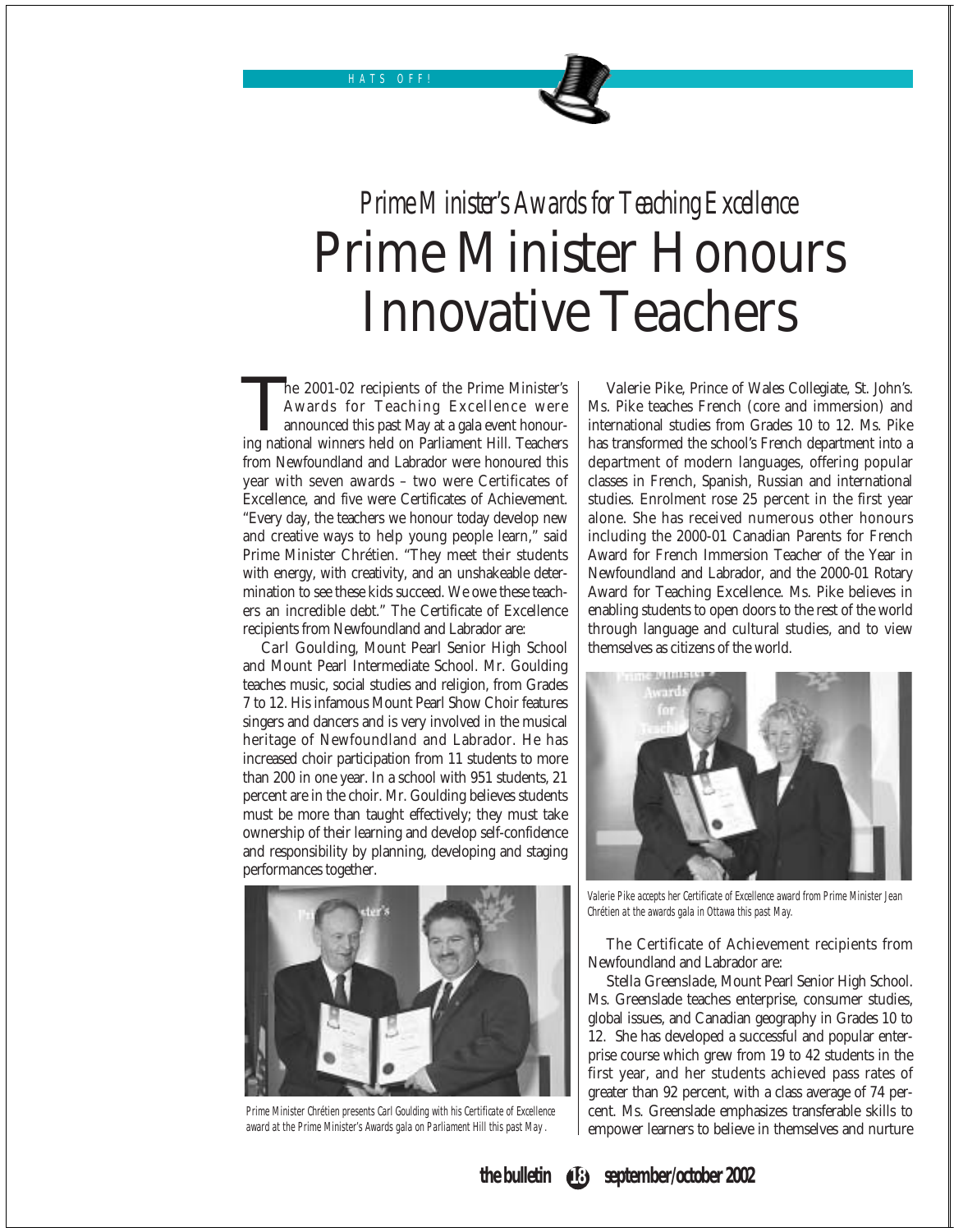HATS OFF!

# *Prime Minister's Awards for Teaching Excellence* Prime Minister Honours Innovative Teachers

The 2001-02 recipients of the Prime Minister's<br>Awards for Teaching Excellence were<br>announced this past May at a gala event honour-<br>ing national winners held on Parliament Hill. Teachers Awards for Teaching Excellence were announced this past May at a gala event honouring national winners held on Parliament Hill. Teachers from Newfoundland and Labrador were honoured this year with seven awards – two were Certificates of Excellence, and five were Certificates of Achievement. "Every day, the teachers we honour today develop new and creative ways to help young people learn," said Prime Minister Chrétien. "They meet their students with energy, with creativity, and an unshakeable determination to see these kids succeed. We owe these teachers an incredible debt." The Certificate of Excellence recipients from Newfoundland and Labrador are:

Carl Goulding, Mount Pearl Senior High School and Mount Pearl Intermediate School. Mr. Goulding teaches music, social studies and religion, from Grades 7 to 12. His infamous Mount Pearl Show Choir features singers and dancers and is very involved in the musical heritage of Newfoundland and Labrador. He has increased choir participation from 11 students to more than 200 in one year. In a school with 951 students, 21 percent are in the choir. Mr. Goulding believes students must be more than taught effectively; they must take ownership of their learning and develop self-confidence and responsibility by planning, developing and staging performances together.



Prime Minister Chrétien presents Carl Goulding with his Certificate of Excellence award at the Prime Minister's Awards gala on Parliament Hill this past May .

Valerie Pike, Prince of Wales Collegiate, St. John's. Ms. Pike teaches French (core and immersion) and international studies from Grades 10 to 12. Ms. Pike has transformed the school's French department into a department of modern languages, offering popular classes in French, Spanish, Russian and international studies. Enrolment rose 25 percent in the first year alone. She has received numerous other honours including the 2000-01 Canadian Parents for French Award for French Immersion Teacher of the Year in Newfoundland and Labrador, and the 2000-01 Rotary Award for Teaching Excellence. Ms. Pike believes in enabling students to open doors to the rest of the world through language and cultural studies, and to view themselves as citizens of the world.



Valerie Pike accepts her Certificate of Excellence award from Prime Minister Jean Chrétien at the awards gala in Ottawa this past May.

The Certificate of Achievement recipients from Newfoundland and Labrador are:

Stella Greenslade, Mount Pearl Senior High School. Ms. Greenslade teaches enterprise, consumer studies, global issues, and Canadian geography in Grades 10 to 12. She has developed a successful and popular enterprise course which grew from 19 to 42 students in the first year, and her students achieved pass rates of greater than 92 percent, with a class average of 74 percent. Ms. Greenslade emphasizes transferable skills to empower learners to believe in themselves and nurture

**the bulletin** (**B**) september/october 2002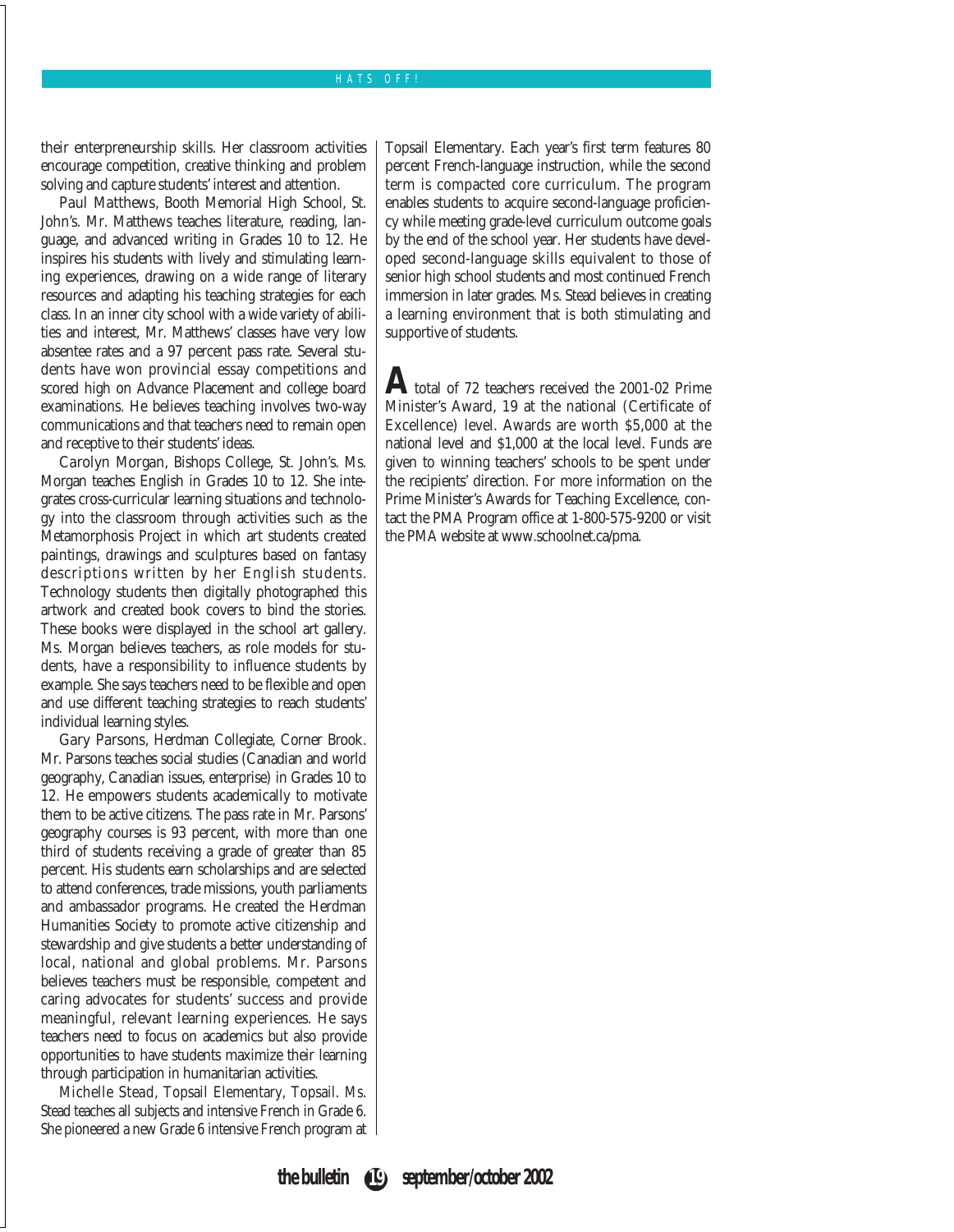### HATS OFF!

their enterpreneurship skills. Her classroom activities encourage competition, creative thinking and problem solving and capture students' interest and attention.

Paul Matthews, Booth Memorial High School, St. John's. Mr. Matthews teaches literature, reading, language, and advanced writing in Grades 10 to 12. He inspires his students with lively and stimulating learning experiences, drawing on a wide range of literary resources and adapting his teaching strategies for each class. In an inner city school with a wide variety of abilities and interest, Mr. Matthews' classes have very low absentee rates and a 97 percent pass rate. Several students have won provincial essay competitions and scored high on Advance Placement and college board examinations. He believes teaching involves two-way communications and that teachers need to remain open and receptive to their students' ideas.

Carolyn Morgan, Bishops College, St. John's. Ms. Morgan teaches English in Grades 10 to 12. She integrates cross-curricular learning situations and technology into the classroom through activities such as the Metamorphosis Project in which art students created paintings, drawings and sculptures based on fantasy descriptions written by her English students. Technology students then digitally photographed this artwork and created book covers to bind the stories. These books were displayed in the school art gallery. Ms. Morgan believes teachers, as role models for students, have a responsibility to influence students by example. She says teachers need to be flexible and open and use different teaching strategies to reach students' individual learning styles.

Gary Parsons, Herdman Collegiate, Corner Brook. Mr. Parsons teaches social studies (Canadian and world geography, Canadian issues, enterprise) in Grades 10 to 12. He empowers students academically to motivate them to be active citizens. The pass rate in Mr. Parsons' geography courses is 93 percent, with more than one third of students receiving a grade of greater than 85 percent. His students earn scholarships and are selected to attend conferences, trade missions, youth parliaments and ambassador programs. He created the Herdman Humanities Society to promote active citizenship and stewardship and give students a better understanding of local, national and global problems. Mr. Parsons believes teachers must be responsible, competent and caring advocates for students' success and provide meaningful, relevant learning experiences. He says teachers need to focus on academics but also provide opportunities to have students maximize their learning through participation in humanitarian activities.

Michelle Stead, Topsail Elementary, Topsail. Ms. Stead teaches all subjects and intensive French in Grade 6. She pioneered a new Grade 6 intensive French program at Topsail Elementary. Each year's first term features 80 percent French-language instruction, while the second term is compacted core curriculum. The program enables students to acquire second-language proficiency while meeting grade-level curriculum outcome goals by the end of the school year. Her students have developed second-language skills equivalent to those of senior high school students and most continued French immersion in later grades. Ms. Stead believes in creating a learning environment that is both stimulating and supportive of students.

**A**total of 72 teachers received the 2001-02 Prime Minister's Award, 19 at the national (Certificate of Excellence) level. Awards are worth \$5,000 at the national level and \$1,000 at the local level. Funds are given to winning teachers' schools to be spent under the recipients' direction. For more information on the Prime Minister's Awards for Teaching Excellence, contact the PMA Program office at 1-800-575-9200 or visit the PMA website at www.schoolnet.ca/pma.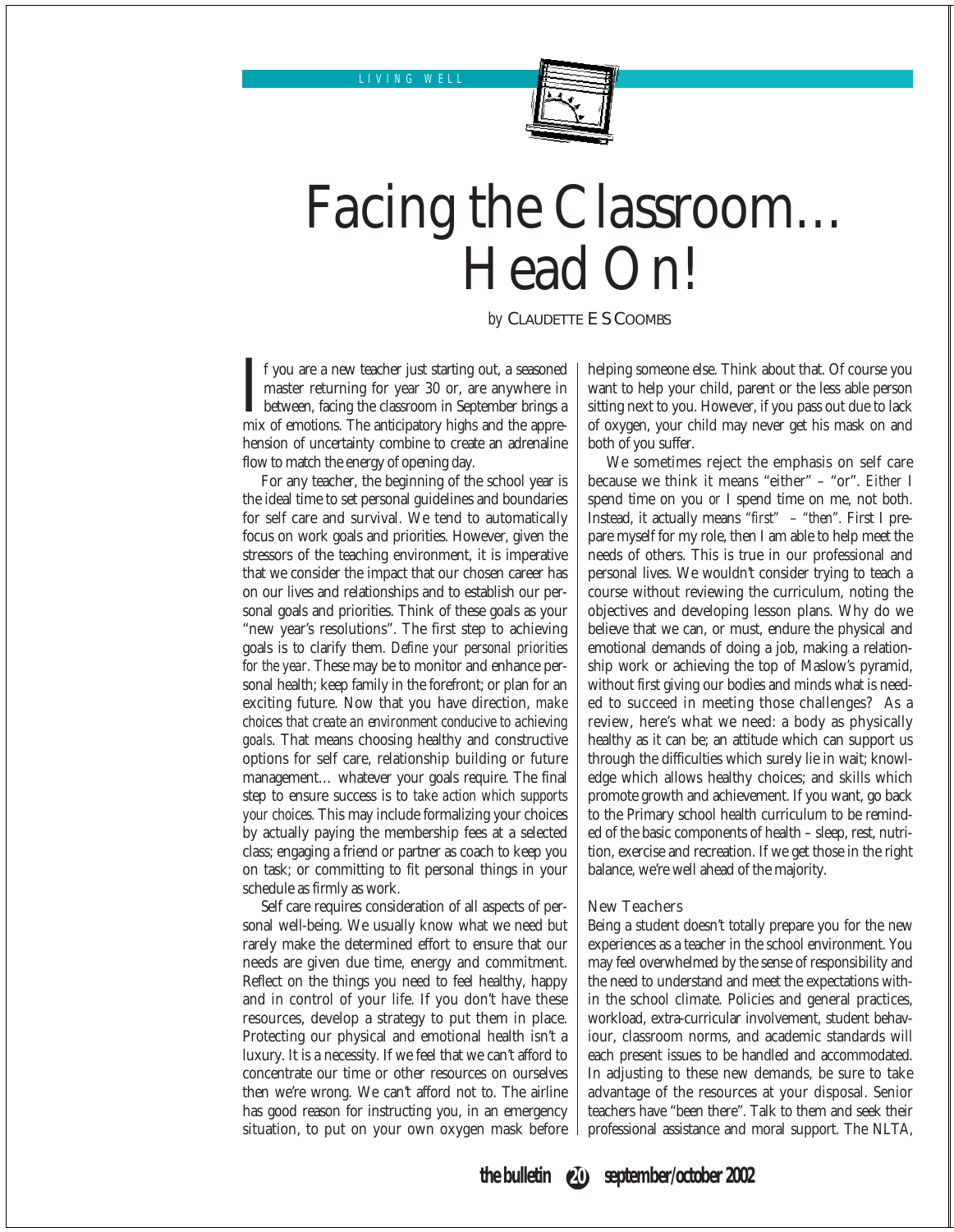LIVING WELL



# Facing the Classroom… Head On!

*by* CLAUDETTE E S COOMBS

I f you are a new teacher just starting out, a seasoned master returning for year 30 or, are anywhere in between, facing the classroom in September brings a mix of emotions. The anticipatory highs and the apprehension of uncertainty combine to create an adrenaline flow to match the energy of opening day.

For any teacher, the beginning of the school year is the ideal time to set personal guidelines and boundaries for self care and survival. We tend to automatically focus on work goals and priorities. However, given the stressors of the teaching environment, it is imperative that we consider the impact that our chosen career has on our lives and relationships and to establish our personal goals and priorities. Think of these goals as your "new year's resolutions". The first step to achieving goals is to clarify them. *Define your personal priorities for the year.* These may be to monitor and enhance personal health; keep family in the forefront; or plan for an exciting future. Now that you have direction, *make choices that create an environment conducive to achieving goals*. That means choosing healthy and constructive options for self care, relationship building or future management… whatever your goals require. The final step to ensure success is to *take action which supports your choices.* This may include formalizing your choices by actually paying the membership fees at a selected class; engaging a friend or partner as coach to keep you on task; or committing to fit personal things in your schedule as firmly as work.

Self care requires consideration of all aspects of personal well-being. We usually know what we need but rarely make the determined effort to ensure that our needs are given due time, energy and commitment. Reflect on the things you need to feel healthy, happy and in control of your life. If you don't have these resources, develop a strategy to put them in place. Protecting our physical and emotional health isn't a luxury. It is a necessity. If we feel that we can't afford to concentrate our time or other resources on ourselves then we're wrong. We can't afford not to. The airline has good reason for instructing you, in an emergency situation, to put on your own oxygen mask before helping someone else. Think about that. Of course you want to help your child, parent or the less able person sitting next to you. However, if you pass out due to lack of oxygen, your child may never get his mask on and both of you suffer.

We sometimes reject the emphasis on self care because we think it means "either" – "or". *Either* I spend time on you *or* I spend time on me, not both. Instead, it actually means *"first"* – *"then".* First I prepare myself for my role, then I am able to help meet the needs of others. This is true in our professional and personal lives. We wouldn't consider trying to teach a course without reviewing the curriculum, noting the objectives and developing lesson plans. Why do we believe that we can, or must, endure the physical and emotional demands of doing a job, making a relationship work or achieving the top of Maslow's pyramid, without first giving our bodies and minds what is needed to succeed in meeting those challenges? As a review, here's what we need: a body as physically healthy as it can be; an attitude which can support us through the difficulties which surely lie in wait; knowledge which allows healthy choices; and skills which promote growth and achievement. If you want, go back to the Primary school health curriculum to be reminded of the basic components of health – sleep, rest, nutrition, exercise and recreation. If we get those in the right balance, we're well ahead of the majority.

### New Teachers

Being a student doesn't totally prepare you for the new experiences as a teacher in the school environment. You may feel overwhelmed by the sense of responsibility and the need to understand and meet the expectations within the school climate. Policies and general practices, workload, extra-curricular involvement, student behaviour, classroom norms, and academic standards will each present issues to be handled and accommodated. In adjusting to these new demands, be sure to take advantage of the resources at your disposal. Senior teachers have "been there". Talk to them and seek their professional assistance and moral support. The NLTA,

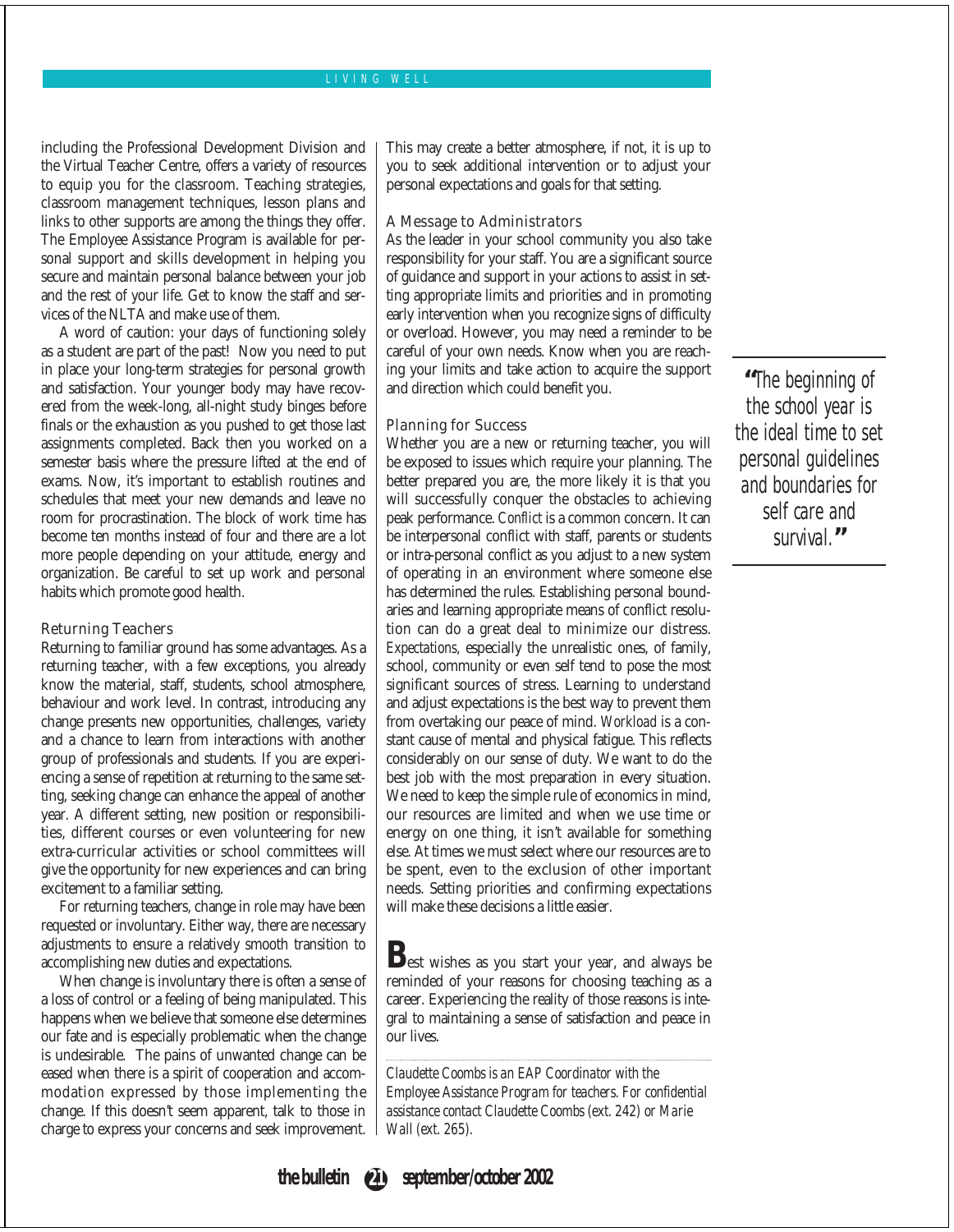### LIVING WELL

including the Professional Development Division and the Virtual Teacher Centre, offers a variety of resources to equip you for the classroom. Teaching strategies, classroom management techniques, lesson plans and links to other supports are among the things they offer. The Employee Assistance Program is available for personal support and skills development in helping you secure and maintain personal balance between your job and the rest of your life. Get to know the staff and services of the NLTA and make use of them.

A word of caution: your days of functioning solely as a student are part of the past! Now you need to put in place your long-term strategies for personal growth and satisfaction. Your younger body may have recovered from the week-long, all-night study binges before finals or the exhaustion as you pushed to get those last assignments completed. Back then you worked on a semester basis where the pressure lifted at the end of exams. Now, it's important to establish routines and schedules that meet your new demands and leave no room for procrastination. The block of work time has become ten months instead of four and there are a lot more people depending on your attitude, energy and organization. Be careful to set up work and personal habits which promote good health.

#### Returning Teachers

Returning to familiar ground has some advantages. As a returning teacher, with a few exceptions, you already know the material, staff, students, school atmosphere, behaviour and work level. In contrast, introducing any change presents new opportunities, challenges, variety and a chance to learn from interactions with another group of professionals and students. If you are experiencing a sense of repetition at returning to the same setting, seeking change can enhance the appeal of another year. A different setting, new position or responsibilities, different courses or even volunteering for new extra-curricular activities or school committees will give the opportunity for new experiences and can bring excitement to a familiar setting.

For returning teachers, change in role may have been requested or involuntary. Either way, there are necessary adjustments to ensure a relatively smooth transition to accomplishing new duties and expectations.

When change is involuntary there is often a sense of a loss of control or a feeling of being manipulated. This happens when we believe that someone else determines our fate and is especially problematic when the change is undesirable. The pains of unwanted change can be eased when there is a spirit of cooperation and accommodation expressed by those implementing the change. If this doesn't seem apparent, talk to those in charge to express your concerns and seek improvement.

This may create a better atmosphere, if not, it is up to you to seek additional intervention or to adjust your personal expectations and goals for that setting.

#### A Message to Administrators

As the leader in your school community you also take responsibility for your staff. You are a significant source of guidance and support in your actions to assist in setting appropriate limits and priorities and in promoting early intervention when you recognize signs of difficulty or overload. However, you may need a reminder to be careful of your own needs. Know when you are reaching your limits and take action to acquire the support and direction which could benefit you.

#### Planning for Success

Whether you are a new or returning teacher, you will be exposed to issues which require your planning. The better prepared you are, the more likely it is that you will successfully conquer the obstacles to achieving peak performance. *Conflict* is a common concern. It can be interpersonal conflict with staff, parents or students or intra-personal conflict as you adjust to a new system of operating in an environment where someone else has determined the rules. Establishing personal boundaries and learning appropriate means of conflict resolution can do a great deal to minimize our distress. *Expectations,* especially the unrealistic ones, of family, school, community or even self tend to pose the most significant sources of stress. Learning to understand and adjust expectations is the best way to prevent them from overtaking our peace of mind. *Workload* is a constant cause of mental and physical fatigue. This reflects considerably on our sense of duty. We want to do the best job with the most preparation in every situation. We need to keep the simple rule of economics in mind, our resources are limited and when we use time or energy on one thing, it isn't available for something else. At times we must select where our resources are to be spent, even to the exclusion of other important needs. Setting priorities and confirming expectations will make these decisions a little easier.

Best wishes as you start your year, and always be reminded of your reasons for choosing teaching as a career. Experiencing the reality of those reasons is integral to maintaining a sense of satisfaction and peace in our lives.

*Claudette Coombs is an EAP Coordinator with the Employee Assistance Program for teachers. For confidential assistance contact Claudette Coombs (ext. 242) or Marie Wall (ext. 265).*

**"**The beginning of the school year is the ideal time to set personal guidelines and boundaries for self care and survival.**"**

**the bulletin 21 september/october 2002**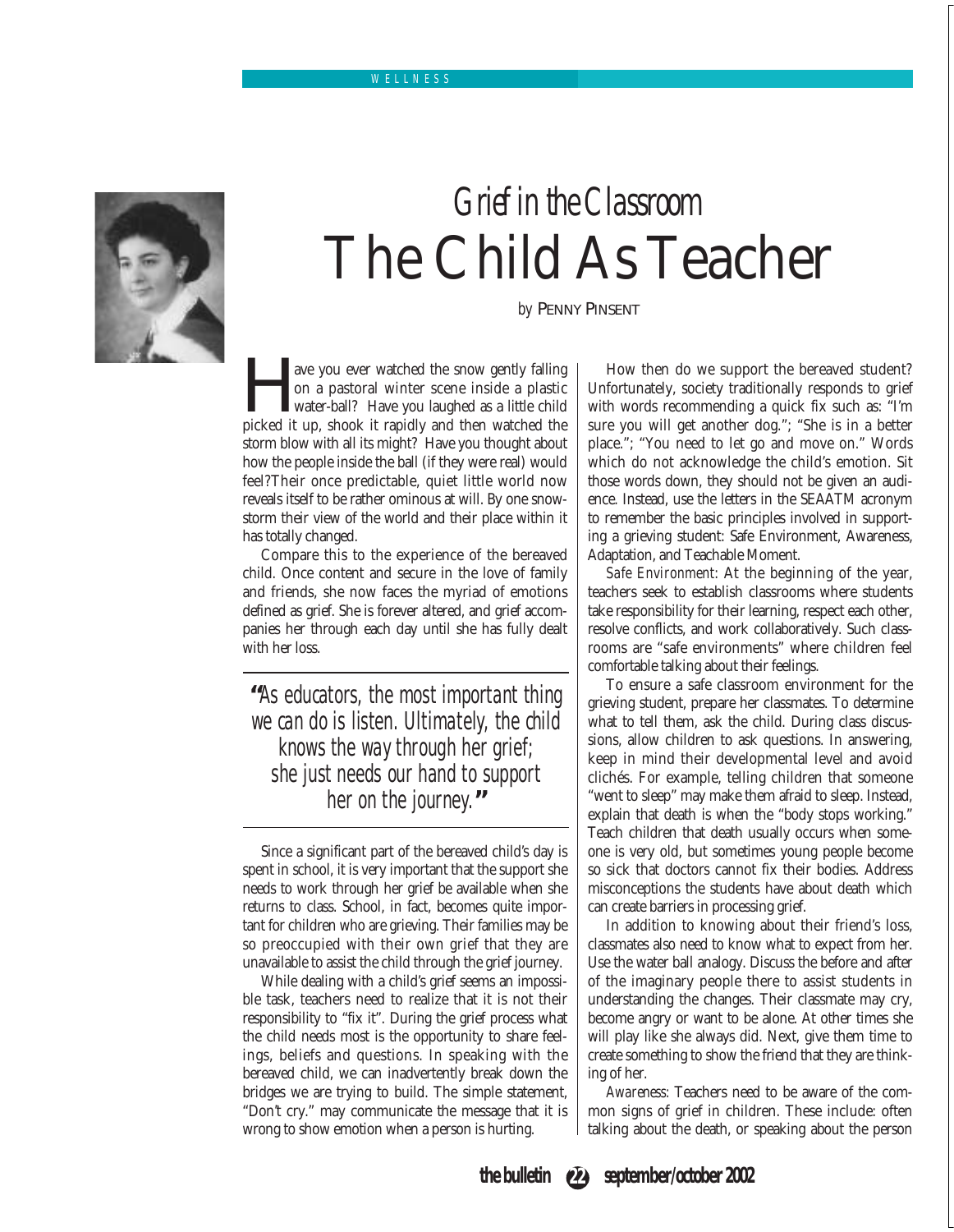

# *Grief in the Classroom* The Child As Teacher

*by* PENNY PINSENT

**Follow** a pastoral winter scene inside a plastic water-ball? Have you laughed as a little child picked it up, shook it rapidly and then watched the on a pastoral winter scene inside a plastic water-ball? Have you laughed as a little child storm blow with all its might? Have you thought about how the people inside the ball (if they were real) would feel?Their once predictable, quiet little world now reveals itself to be rather ominous at will. By one snowstorm their view of the world and their place within it has totally changed.

Compare this to the experience of the bereaved child. Once content and secure in the love of family and friends, she now faces the myriad of emotions defined as grief. She is forever altered, and grief accompanies her through each day until she has fully dealt with her loss.

**"**As educators, the most important thing we can do is listen. Ultimately, the child knows the way through her grief; she just needs our hand to support her on the journey.**"**

Since a significant part of the bereaved child's day is spent in school, it is very important that the support she needs to work through her grief be available when she returns to class. School, in fact, becomes quite important for children who are grieving. Their families may be so preoccupied with their own grief that they are unavailable to assist the child through the grief journey.

While dealing with a child's grief seems an impossible task, teachers need to realize that it is not their responsibility to "fix it". During the grief process what the child needs most is the opportunity to share feelings, beliefs and questions. In speaking with the bereaved child, we can inadvertently break down the bridges we are trying to build. The simple statement, "Don't cry." may communicate the message that it is wrong to show emotion when a person is hurting.

How then do we support the bereaved student? Unfortunately, society traditionally responds to grief with words recommending a quick fix such as: "I'm sure you will get another dog."; "She is in a better place."; "You need to let go and move on." Words which do not acknowledge the child's emotion. Sit those words down, they should not be given an audience. Instead, use the letters in the SEAATM acronym to remember the basic principles involved in supporting a grieving student: Safe Environment, Awareness, Adaptation, and Teachable Moment.

*Safe Environment*: At the beginning of the year, teachers seek to establish classrooms where students take responsibility for their learning, respect each other, resolve conflicts, and work collaboratively. Such classrooms are "safe environments" where children feel comfortable talking about their feelings.

To ensure a safe classroom environment for the grieving student, prepare her classmates. To determine what to tell them, ask the child. During class discussions, allow children to ask questions. In answering, keep in mind their developmental level and avoid clichés. For example, telling children that someone "went to sleep" may make them afraid to sleep. Instead, explain that death is when the "body stops working." Teach children that death usually occurs when someone is very old, but sometimes young people become so sick that doctors cannot fix their bodies. Address misconceptions the students have about death which can create barriers in processing grief.

In addition to knowing about their friend's loss, classmates also need to know what to expect from her. Use the water ball analogy. Discuss the before and after of the imaginary people there to assist students in understanding the changes. Their classmate may cry, become angry or want to be alone. At other times she will play like she always did. Next, give them time to create something to show the friend that they are thinking of her.

*Awareness:* Teachers need to be aware of the common signs of grief in children. These include: often talking about the death, or speaking about the person

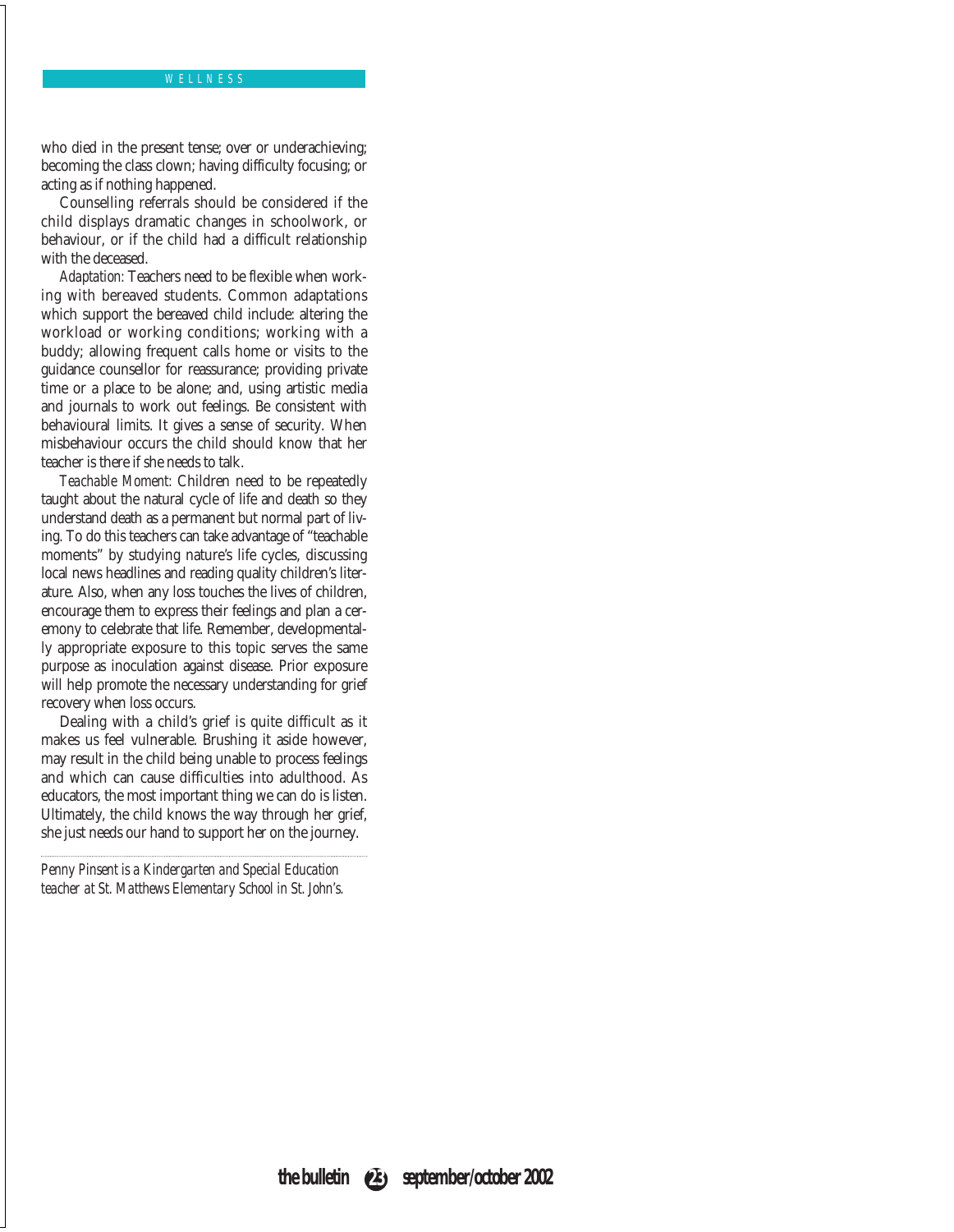### WELLNESS

who died in the present tense; over or underachieving; becoming the class clown; having difficulty focusing; or acting as if nothing happened.

Counselling referrals should be considered if the child displays dramatic changes in schoolwork, or behaviour, or if the child had a difficult relationship with the deceased.

*Adaptation:* Teachers need to be flexible when working with bereaved students. Common adaptations which support the bereaved child include: altering the workload or working conditions; working with a buddy; allowing frequent calls home or visits to the guidance counsellor for reassurance; providing private time or a place to be alone; and, using artistic media and journals to work out feelings. Be consistent with behavioural limits. It gives a sense of security. When misbehaviour occurs the child should know that her teacher is there if she needs to talk.

*Teachable Moment:* Children need to be repeatedly taught about the natural cycle of life and death so they understand death as a permanent but normal part of living. To do this teachers can take advantage of "teachable moments" by studying nature's life cycles, discussing local news headlines and reading quality children's literature. Also, when any loss touches the lives of children, encourage them to express their feelings and plan a ceremony to celebrate that life. Remember, developmentally appropriate exposure to this topic serves the same purpose as inoculation against disease. Prior exposure will help promote the necessary understanding for grief recovery when loss occurs.

Dealing with a child's grief is quite difficult as it makes us feel vulnerable. Brushing it aside however, may result in the child being unable to process feelings and which can cause difficulties into adulthood. As educators, the most important thing we can do is listen. Ultimately, the child knows the way through her grief, she just needs our hand to support her on the journey.

*Penny Pinsent is a Kindergarten and Special Education teacher at St. Matthews Elementary School in St. John's.*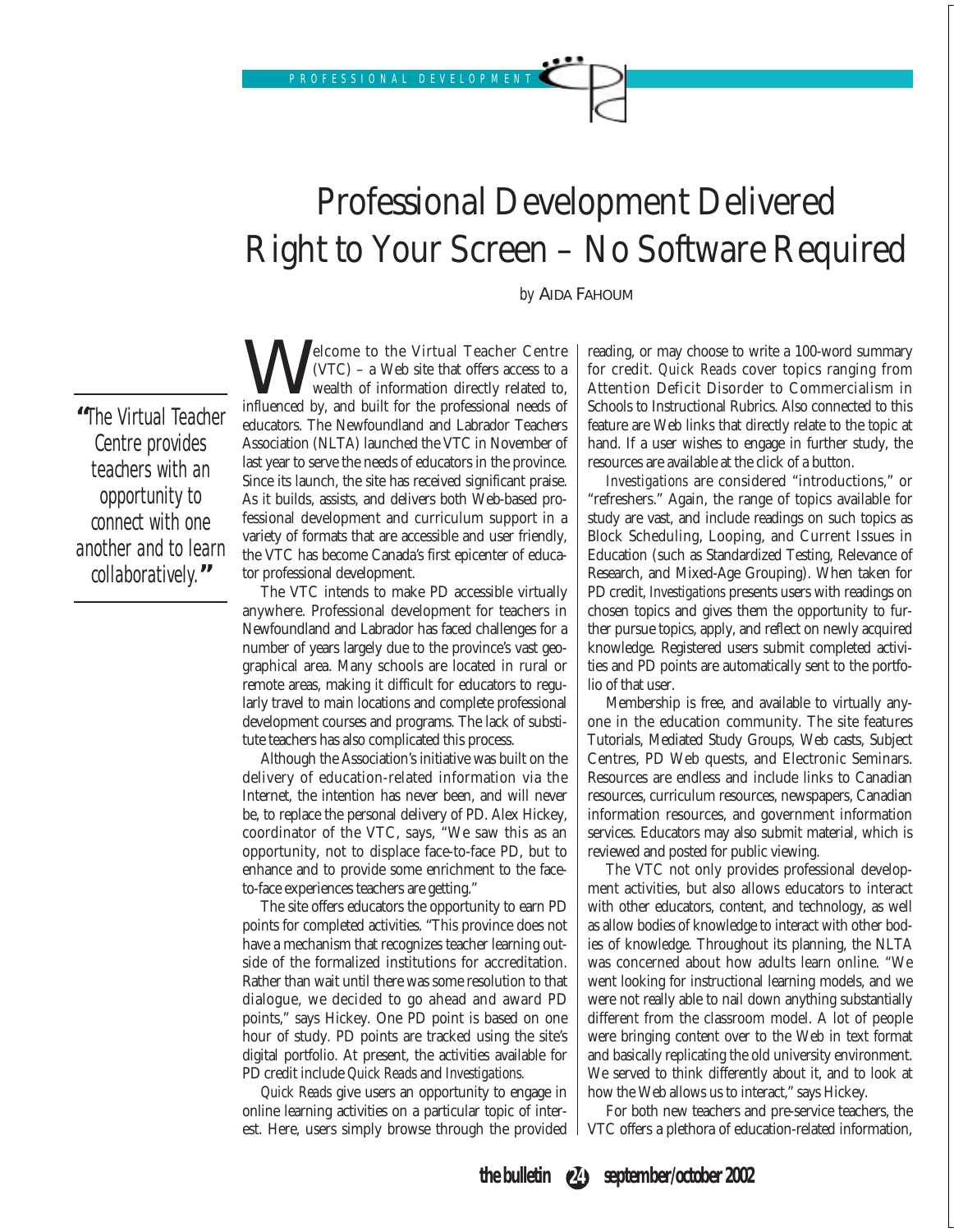# Professional Development Delivered Right to Your Screen – No Software Required

*by* AIDA FAHOUM

**"**The Virtual Teacher Centre provides teachers with an opportunity to connect with one another and to learn collaboratively.**"**

**W** (VTC) – a Web site that offers access to a wealth of information directly related to, influenced by, and built for the professional needs of (VTC) – a Web site that offers access to a wealth of information directly related to, educators. The Newfoundland and Labrador Teachers Association (NLTA) launched the VTC in November of last year to serve the needs of educators in the province. Since its launch, the site has received significant praise. As it builds, assists, and delivers both Web-based professional development and curriculum support in a variety of formats that are accessible and user friendly, the VTC has become Canada's first epicenter of educator professional development.

The VTC intends to make PD accessible virtually anywhere. Professional development for teachers in Newfoundland and Labrador has faced challenges for a number of years largely due to the province's vast geographical area. Many schools are located in rural or remote areas, making it difficult for educators to regularly travel to main locations and complete professional development courses and programs. The lack of substitute teachers has also complicated this process.

Although the Association's initiative was built on the delivery of education-related information via the Internet, the intention has never been, and will never be, to replace the personal delivery of PD. Alex Hickey, coordinator of the VTC, says, "We saw this as an opportunity, not to displace face-to-face PD, but to enhance and to provide some enrichment to the faceto-face experiences teachers are getting."

The site offers educators the opportunity to earn PD points for completed activities. "This province does not have a mechanism that recognizes teacher learning outside of the formalized institutions for accreditation. Rather than wait until there was some resolution to that dialogue, we decided to go ahead and award PD points," says Hickey. One PD point is based on one hour of study. PD points are tracked using the site's digital portfolio. At present, the activities available for PD credit include *Quick Reads* and *Investigations.*

*Quick Reads* give users an opportunity to engage in online learning activities on a particular topic of interest. Here, users simply browse through the provided

reading, or may choose to write a 100-word summary for credit. *Quick Reads* cover topics ranging from Attention Deficit Disorder to Commercialism in Schools to Instructional Rubrics. Also connected to this feature are Web links that directly relate to the topic at hand. If a user wishes to engage in further study, the resources are available at the click of a button.

*Investigations* are considered "introductions," or "refreshers." Again, the range of topics available for study are vast, and include readings on such topics as Block Scheduling, Looping, and Current Issues in Education (such as Standardized Testing, Relevance of Research, and Mixed-Age Grouping). When taken for PD credit, *Investigations* presents users with readings on chosen topics and gives them the opportunity to further pursue topics, apply, and reflect on newly acquired knowledge. Registered users submit completed activities and PD points are automatically sent to the portfolio of that user.

Membership is free, and available to virtually anyone in the education community. The site features Tutorials, Mediated Study Groups, Web casts, Subject Centres, PD Web quests, and Electronic Seminars. Resources are endless and include links to Canadian resources, curriculum resources, newspapers, Canadian information resources, and government information services. Educators may also submit material, which is reviewed and posted for public viewing.

The VTC not only provides professional development activities, but also allows educators to interact with other educators, content, and technology, as well as allow bodies of knowledge to interact with other bodies of knowledge. Throughout its planning, the NLTA was concerned about how adults learn online. "We went looking for instructional learning models, and we were not really able to nail down anything substantially different from the classroom model. A lot of people were bringing content over to the Web in text format and basically replicating the old university environment. We served to think differently about it, and to look at how the Web allows us to interact," says Hickey.

For both new teachers and pre-service teachers, the VTC offers a plethora of education-related information,

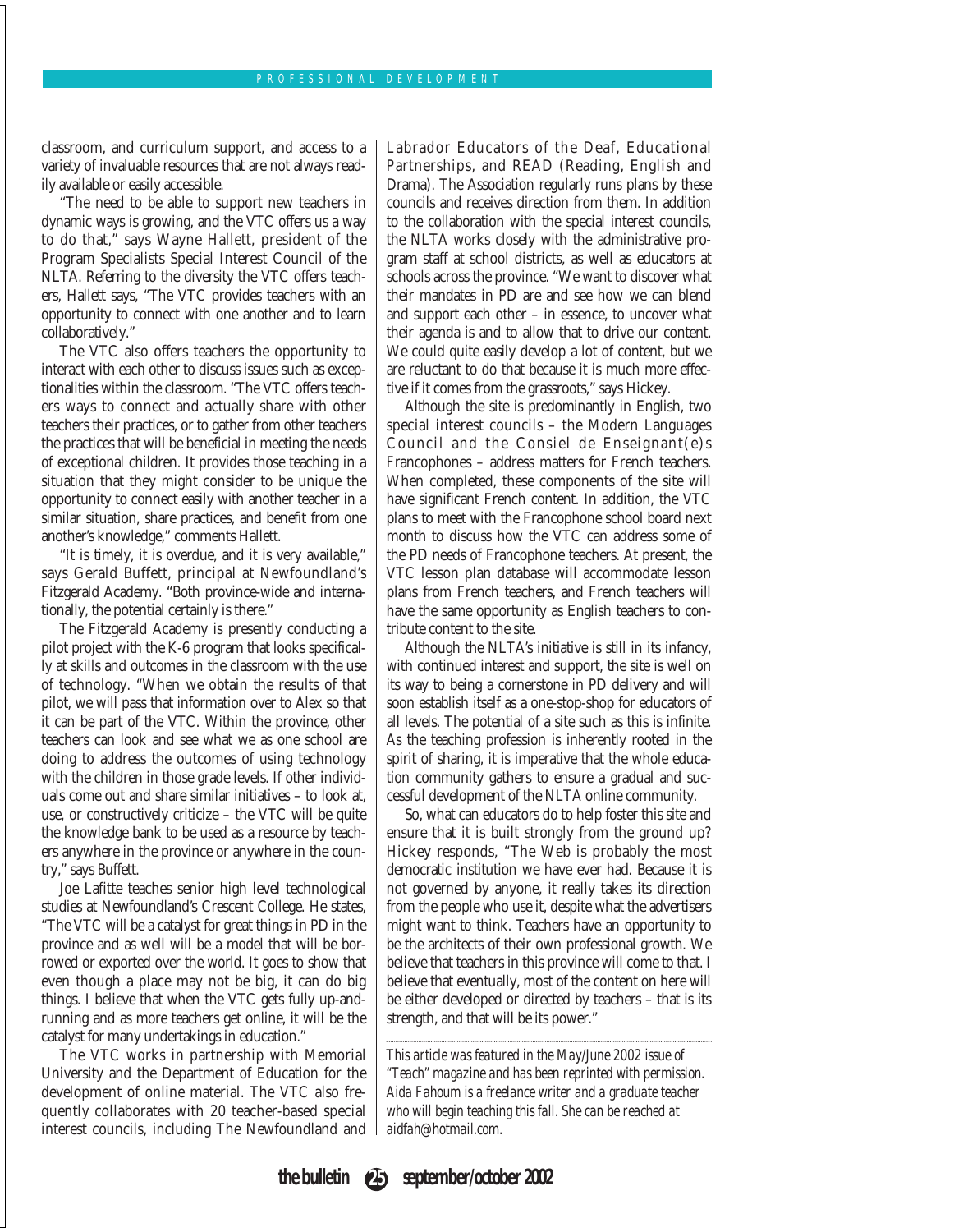classroom, and curriculum support, and access to a variety of invaluable resources that are not always readily available or easily accessible.

"The need to be able to support new teachers in dynamic ways is growing, and the VTC offers us a way to do that," says Wayne Hallett, president of the Program Specialists Special Interest Council of the NLTA. Referring to the diversity the VTC offers teachers, Hallett says, "The VTC provides teachers with an opportunity to connect with one another and to learn collaboratively."

The VTC also offers teachers the opportunity to interact with each other to discuss issues such as exceptionalities within the classroom. "The VTC offers teachers ways to connect and actually share with other teachers their practices, or to gather from other teachers the practices that will be beneficial in meeting the needs of exceptional children. It provides those teaching in a situation that they might consider to be unique the opportunity to connect easily with another teacher in a similar situation, share practices, and benefit from one another's knowledge," comments Hallett.

"It is timely, it is overdue, and it is very available," says Gerald Buffett, principal at Newfoundland's Fitzgerald Academy. "Both province-wide and internationally, the potential certainly is there."

The Fitzgerald Academy is presently conducting a pilot project with the K-6 program that looks specifically at skills and outcomes in the classroom with the use of technology. "When we obtain the results of that pilot, we will pass that information over to Alex so that it can be part of the VTC. Within the province, other teachers can look and see what we as one school are doing to address the outcomes of using technology with the children in those grade levels. If other individuals come out and share similar initiatives – to look at, use, or constructively criticize – the VTC will be quite the knowledge bank to be used as a resource by teachers anywhere in the province or anywhere in the country," says Buffett.

Joe Lafitte teaches senior high level technological studies at Newfoundland's Crescent College. He states, "The VTC will be a catalyst for great things in PD in the province and as well will be a model that will be borrowed or exported over the world. It goes to show that even though a place may not be big, it can do big things. I believe that when the VTC gets fully up-andrunning and as more teachers get online, it will be the catalyst for many undertakings in education."

The VTC works in partnership with Memorial University and the Department of Education for the development of online material. The VTC also frequently collaborates with 20 teacher-based special interest councils, including The Newfoundland and Labrador Educators of the Deaf, Educational Partnerships, and READ (Reading, English and Drama). The Association regularly runs plans by these councils and receives direction from them. In addition to the collaboration with the special interest councils, the NLTA works closely with the administrative program staff at school districts, as well as educators at schools across the province. "We want to discover what their mandates in PD are and see how we can blend and support each other – in essence, to uncover what their agenda is and to allow that to drive our content. We could quite easily develop a lot of content, but we are reluctant to do that because it is much more effective if it comes from the grassroots," says Hickey.

Although the site is predominantly in English, two special interest councils – the Modern Languages Council and the Consiel de Enseignant(e)s Francophones – address matters for French teachers. When completed, these components of the site will have significant French content. In addition, the VTC plans to meet with the Francophone school board next month to discuss how the VTC can address some of the PD needs of Francophone teachers. At present, the VTC lesson plan database will accommodate lesson plans from French teachers, and French teachers will have the same opportunity as English teachers to contribute content to the site.

Although the NLTA's initiative is still in its infancy, with continued interest and support, the site is well on its way to being a cornerstone in PD delivery and will soon establish itself as a one-stop-shop for educators of all levels. The potential of a site such as this is infinite. As the teaching profession is inherently rooted in the spirit of sharing, it is imperative that the whole education community gathers to ensure a gradual and successful development of the NLTA online community.

So, what can educators do to help foster this site and ensure that it is built strongly from the ground up? Hickey responds, "The Web is probably the most democratic institution we have ever had. Because it is not governed by anyone, it really takes its direction from the people who use it, despite what the advertisers might want to think. Teachers have an opportunity to be the architects of their own professional growth. We believe that teachers in this province will come to that. I believe that eventually, most of the content on here will be either developed or directed by teachers – that is its strength, and that will be its power."

*This article was featured in the May/June 2002 issue of "Teach" magazine and has been reprinted with permission. Aida Fahoum is a freelance writer and a graduate teacher who will begin teaching this fall. She can be reached at aidfah@hotmail.com.* 

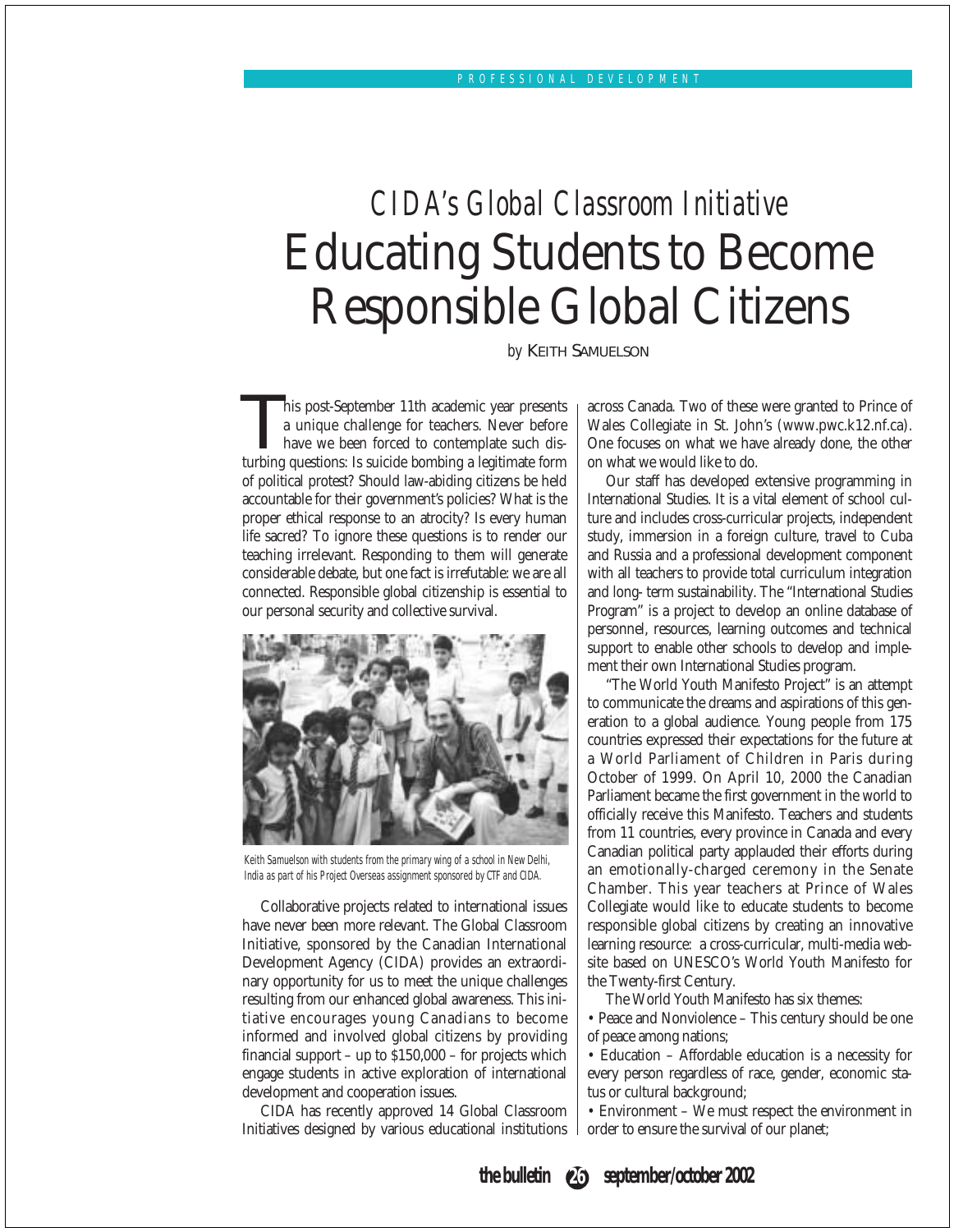# *CIDA's Global Classroom Initiative* Educating Students to Become Responsible Global Citizens

*by* KEITH SAMUELSON

his post-September 11th academic year presents a unique challenge for teachers. Never before have we been forced to contemplate such disturbing questions: Is suicide bombing a legitimate form of political protest? Should law-abiding citizens be held accountable for their government's policies? What is the proper ethical response to an atrocity? Is every human life sacred? To ignore these questions is to render our teaching irrelevant. Responding to them will generate considerable debate, but one fact is irrefutable: we are all connected. Responsible global citizenship is essential to our personal security and collective survival.



Keith Samuelson with students from the primary wing of a school in New Delhi, India as part of his Project Overseas assignment sponsored by CTF and CIDA.

Collaborative projects related to international issues have never been more relevant. The Global Classroom Initiative, sponsored by the Canadian International Development Agency (CIDA) provides an extraordinary opportunity for us to meet the unique challenges resulting from our enhanced global awareness. This initiative encourages young Canadians to become informed and involved global citizens by providing financial support – up to \$150,000 – for projects which engage students in active exploration of international development and cooperation issues.

CIDA has recently approved 14 Global Classroom Initiatives designed by various educational institutions across Canada. Two of these were granted to Prince of Wales Collegiate in St. John's (www.pwc.k12.nf.ca). One focuses on what we have already done, the other on what we would like to do.

Our staff has developed extensive programming in International Studies. It is a vital element of school culture and includes cross-curricular projects, independent study, immersion in a foreign culture, travel to Cuba and Russia and a professional development component with all teachers to provide total curriculum integration and long- term sustainability. The "International Studies Program" is a project to develop an online database of personnel, resources, learning outcomes and technical support to enable other schools to develop and implement their own International Studies program.

"The World Youth Manifesto Project" is an attempt to communicate the dreams and aspirations of this generation to a global audience. Young people from 175 countries expressed their expectations for the future at a World Parliament of Children in Paris during October of 1999. On April 10, 2000 the Canadian Parliament became the first government in the world to officially receive this Manifesto. Teachers and students from 11 countries, every province in Canada and every Canadian political party applauded their efforts during an emotionally-charged ceremony in the Senate Chamber. This year teachers at Prince of Wales Collegiate would like to educate students to become responsible global citizens by creating an innovative learning resource: a cross-curricular, multi-media website based on UNESCO's World Youth Manifesto for the Twenty-first Century.

The World Youth Manifesto has six themes:

• Peace and Nonviolence – This century should be one of peace among nations;

• Education – Affordable education is a necessity for every person regardless of race, gender, economic status or cultural background;

• Environment – We must respect the environment in order to ensure the survival of our planet;

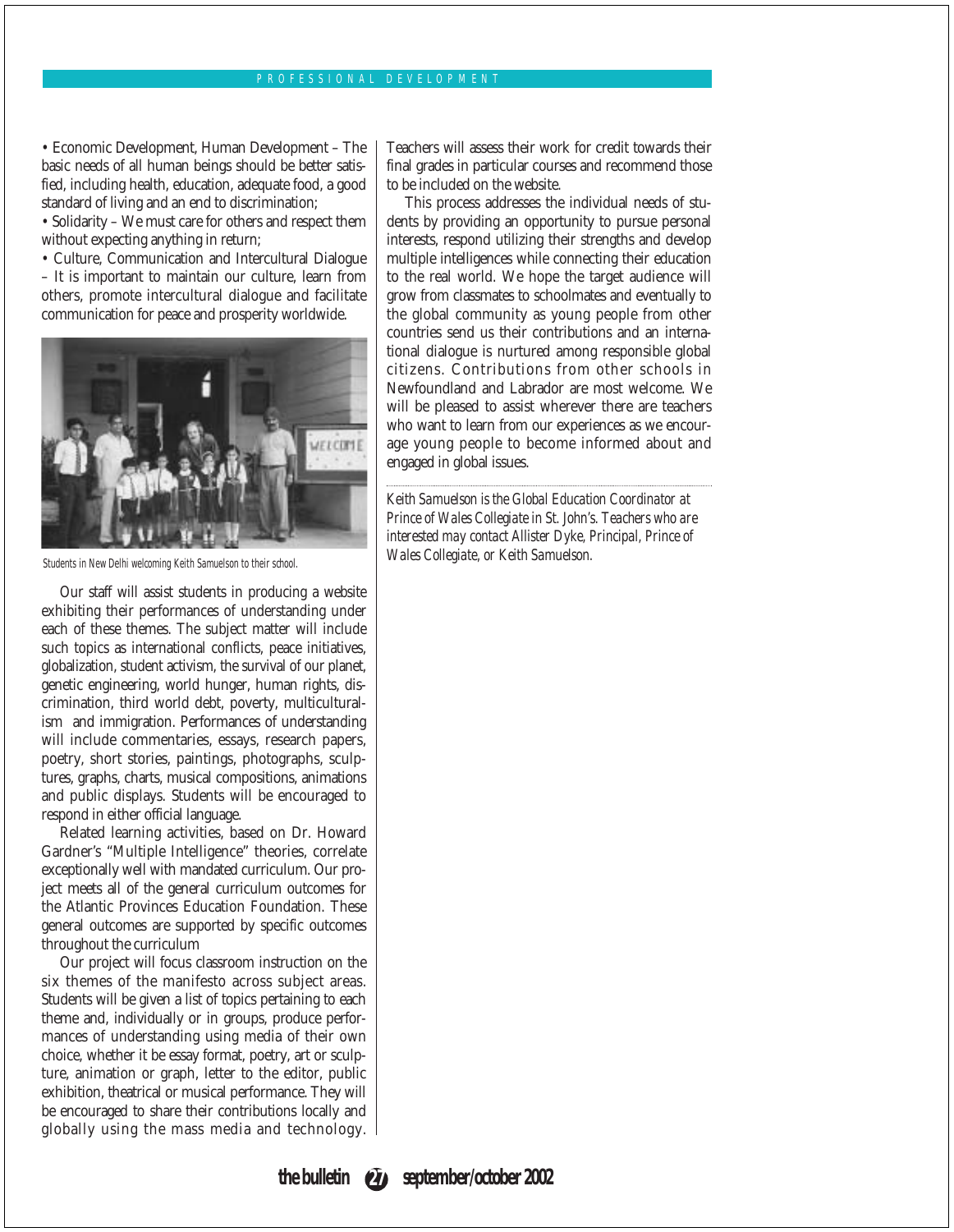#### PROFESSIONAL DEVELOPMENT

• Economic Development, Human Development – The basic needs of all human beings should be better satisfied, including health, education, adequate food, a good standard of living and an end to discrimination;

• Solidarity – We must care for others and respect them without expecting anything in return;

• Culture, Communication and Intercultural Dialogue

– It is important to maintain our culture, learn from others, promote intercultural dialogue and facilitate communication for peace and prosperity worldwide.



Students in New Delhi welcoming Keith Samuelson to their school.

Our staff will assist students in producing a website exhibiting their performances of understanding under each of these themes. The subject matter will include such topics as international conflicts, peace initiatives, globalization, student activism, the survival of our planet, genetic engineering, world hunger, human rights, discrimination, third world debt, poverty, multiculturalism and immigration. Performances of understanding will include commentaries, essays, research papers, poetry, short stories, paintings, photographs, sculptures, graphs, charts, musical compositions, animations and public displays. Students will be encouraged to respond in either official language.

Related learning activities, based on Dr. Howard Gardner's "Multiple Intelligence" theories, correlate exceptionally well with mandated curriculum. Our project meets all of the general curriculum outcomes for the Atlantic Provinces Education Foundation. These general outcomes are supported by specific outcomes throughout the curriculum

Our project will focus classroom instruction on the six themes of the manifesto across subject areas. Students will be given a list of topics pertaining to each theme and, individually or in groups, produce performances of understanding using media of their own choice, whether it be essay format, poetry, art or sculpture, animation or graph, letter to the editor, public exhibition, theatrical or musical performance. They will be encouraged to share their contributions locally and globally using the mass media and technology.

Teachers will assess their work for credit towards their final grades in particular courses and recommend those to be included on the website.

This process addresses the individual needs of students by providing an opportunity to pursue personal interests, respond utilizing their strengths and develop multiple intelligences while connecting their education to the real world. We hope the target audience will grow from classmates to schoolmates and eventually to the global community as young people from other countries send us their contributions and an international dialogue is nurtured among responsible global citizens. Contributions from other schools in Newfoundland and Labrador are most welcome. We will be pleased to assist wherever there are teachers who want to learn from our experiences as we encourage young people to become informed about and engaged in global issues.

*Keith Samuelson is the Global Education Coordinator at Prince of Wales Collegiate in St. John's. Teachers who are interested may contact Allister Dyke, Principal, Prince of Wales Collegiate, or Keith Samuelson.*

**the bulletin 27 september/october 2002**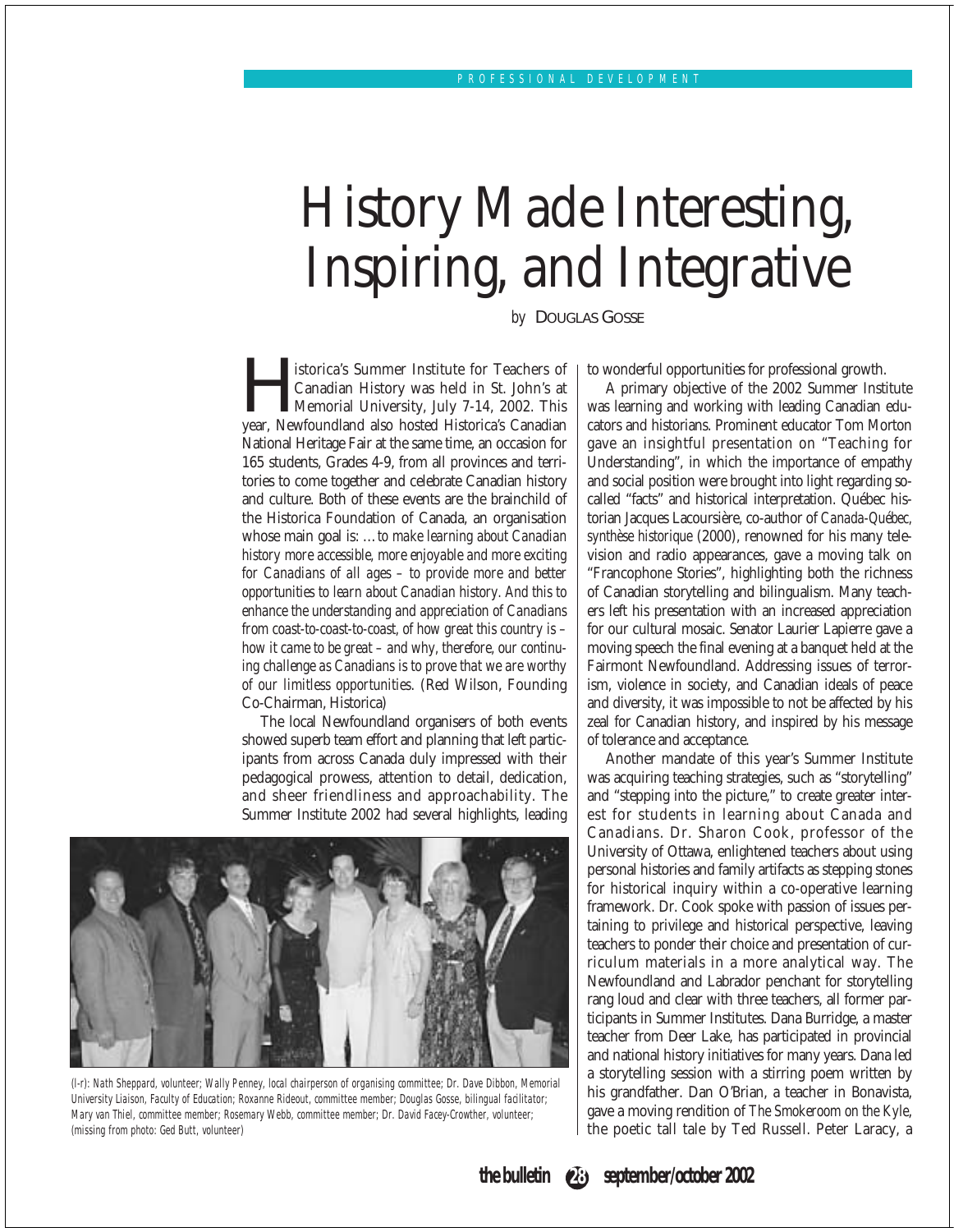# History Made Interesting, Inspiring, and Integrative

*by* DOUGLAS GOSSE

Institute for Teachers of Canadian History was held in St. John's at Memorial University, July 7-14, 2002. This year, Newfoundland also hosted Historica's Canadian Canadian History was held in St. John's at Memorial University, July 7-14, 2002. This National Heritage Fair at the same time, an occasion for 165 students, Grades 4-9, from all provinces and territories to come together and celebrate Canadian history and culture. Both of these events are the brainchild of the Historica Foundation of Canada, an organisation whose main goal is: …*to make learning about Canadian history more accessible, more enjoyable and more exciting for Canadians of all ages – to provide more and better opportunities to learn about Canadian history. And this to enhance the understanding and appreciation of Canadians from coast-to-coast-to-coast, of how great this country is – how it came to be great – and why, therefore, our continuing challenge as Canadians is to prove that we are worthy of our limitless opportunities*. (Red Wilson, Founding Co-Chairman, Historica)

The local Newfoundland organisers of both events showed superb team effort and planning that left participants from across Canada duly impressed with their pedagogical prowess, attention to detail, dedication, and sheer friendliness and approachability. The Summer Institute 2002 had several highlights, leading



(l-r): Nath Sheppard, volunteer; Wally Penney, local chairperson of organising committee; Dr. Dave Dibbon, Memorial University Liaison, Faculty of Education; Roxanne Rideout, committee member; Douglas Gosse, bilingual facilitator; Mary van Thiel, committee member; Rosemary Webb, committee member; Dr. David Facey-Crowther, volunteer; (missing from photo: Ged Butt, volunteer)

to wonderful opportunities for professional growth.

A primary objective of the 2002 Summer Institute was learning and working with leading Canadian educators and historians. Prominent educator Tom Morton gave an insightful presentation on "Teaching for Understanding", in which the importance of empathy and social position were brought into light regarding socalled "facts" and historical interpretation. Québec historian Jacques Lacoursière, co-author of *Canada-Québec, synthèse historique* (2000), renowned for his many television and radio appearances, gave a moving talk on "Francophone Stories", highlighting both the richness of Canadian storytelling and bilingualism. Many teachers left his presentation with an increased appreciation for our cultural mosaic. Senator Laurier Lapierre gave a moving speech the final evening at a banquet held at the Fairmont Newfoundland. Addressing issues of terrorism, violence in society, and Canadian ideals of peace and diversity, it was impossible to not be affected by his zeal for Canadian history, and inspired by his message of tolerance and acceptance.

Another mandate of this year's Summer Institute was acquiring teaching strategies, such as "storytelling" and "stepping into the picture," to create greater interest for students in learning about Canada and Canadians. Dr. Sharon Cook, professor of the University of Ottawa, enlightened teachers about using personal histories and family artifacts as stepping stones for historical inquiry within a co-operative learning framework. Dr. Cook spoke with passion of issues pertaining to privilege and historical perspective, leaving teachers to ponder their choice and presentation of curriculum materials in a more analytical way. The Newfoundland and Labrador penchant for storytelling rang loud and clear with three teachers, all former participants in Summer Institutes. Dana Burridge, a master teacher from Deer Lake, has participated in provincial and national history initiatives for many years. Dana led a storytelling session with a stirring poem written by his grandfather. Dan O'Brian, a teacher in Bonavista, gave a moving rendition of *The Smokeroom on the Kyle*, the poetic tall tale by Ted Russell. Peter Laracy, a

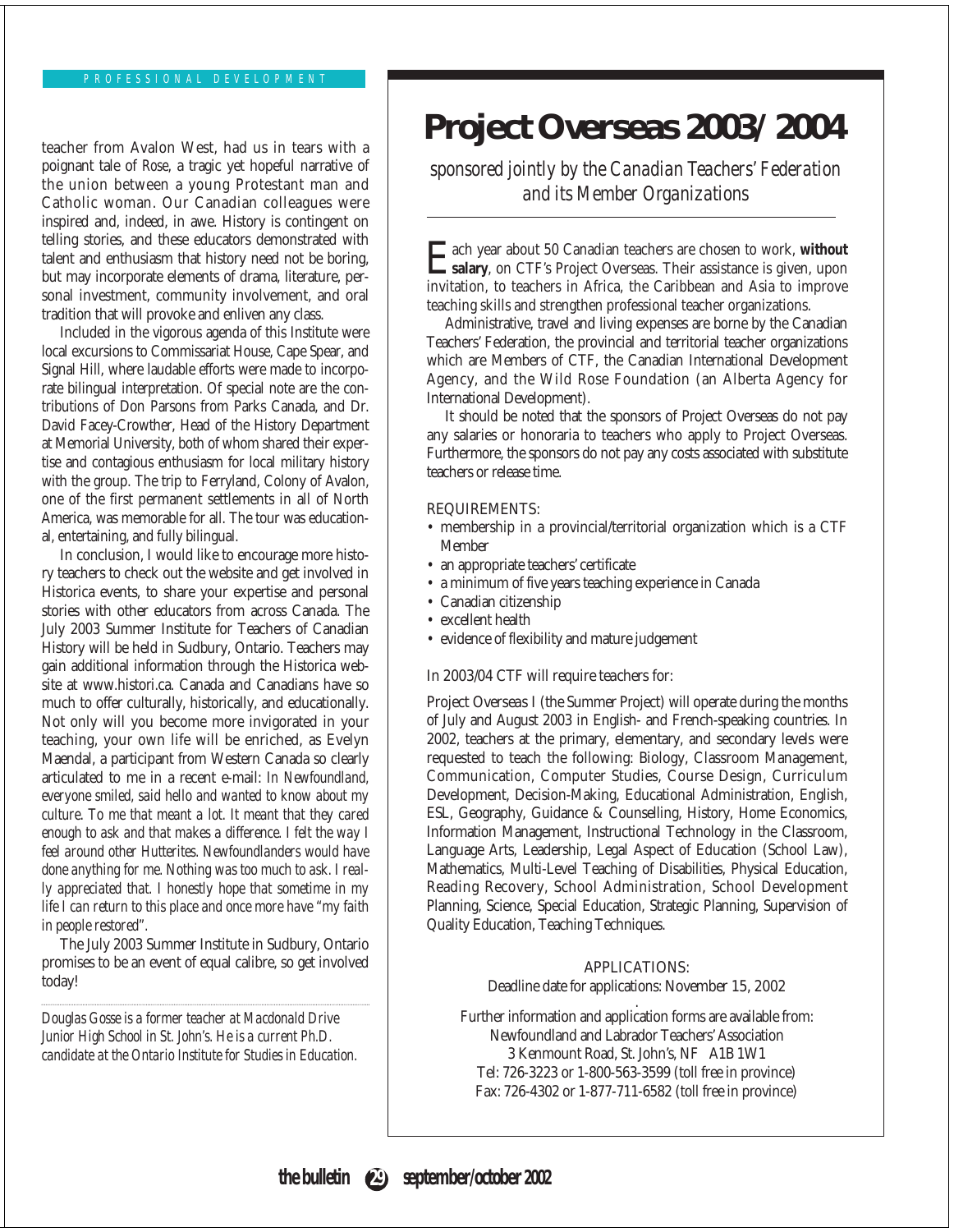### PROFESSIONAL DEVELOPMENT

teacher from Avalon West, had us in tears with a poignant tale of *Rose*, a tragic yet hopeful narrative of the union between a young Protestant man and Catholic woman. Our Canadian colleagues were inspired and, indeed, in awe. History is contingent on telling stories, and these educators demonstrated with talent and enthusiasm that history need not be boring, but may incorporate elements of drama, literature, personal investment, community involvement, and oral tradition that will provoke and enliven any class.

Included in the vigorous agenda of this Institute were local excursions to Commissariat House, Cape Spear, and Signal Hill, where laudable efforts were made to incorporate bilingual interpretation. Of special note are the contributions of Don Parsons from Parks Canada, and Dr. David Facey-Crowther, Head of the History Department at Memorial University, both of whom shared their expertise and contagious enthusiasm for local military history with the group. The trip to Ferryland, Colony of Avalon, one of the first permanent settlements in all of North America, was memorable for all. The tour was educational, entertaining, and fully bilingual.

In conclusion, I would like to encourage more history teachers to check out the website and get involved in Historica events, to share your expertise and personal stories with other educators from across Canada. The July 2003 Summer Institute for Teachers of Canadian History will be held in Sudbury, Ontario. Teachers may gain additional information through the Historica website at www.histori.ca. Canada and Canadians have so much to offer culturally, historically, and educationally. Not only will you become more invigorated in your teaching, your own life will be enriched, as Evelyn Maendal, a participant from Western Canada so clearly articulated to me in a recent e-mail: *In Newfoundland, everyone smiled, said hello and wanted to know about my culture. To me that meant a lot. It meant that they cared enough to ask and that makes a difference. I felt the way I feel around other Hutterites. Newfoundlanders would have done anything for me. Nothing was too much to ask. I really appreciated that. I honestly hope that sometime in my life I can return to this place and once more have "my faith in people restored".*

The July 2003 Summer Institute in Sudbury, Ontario promises to be an event of equal calibre, so get involved today!

*Douglas Gosse is a former teacher at Macdonald Drive Junior High School in St. John's. He is a current Ph.D. candidate at the Ontario Institute for Studies in Education.*

## **Project Overseas 2003/2004**

*sponsored jointly by the Canadian Teachers' Federation and its Member Organizations*

Each year about 50 Canadian teachers are chosen to work, **without salary**, on CTF's Project Overseas. Their assistance is given, upon invitation, to teachers in Africa, the Caribbean and Asia to improve teaching skills and strengthen professional teacher organizations.

Administrative, travel and living expenses are borne by the Canadian Teachers' Federation, the provincial and territorial teacher organizations which are Members of CTF, the Canadian International Development Agency, and the Wild Rose Foundation (an Alberta Agency for International Development).

It should be noted that the sponsors of Project Overseas do not pay any salaries or honoraria to teachers who apply to Project Overseas. Furthermore, the sponsors do not pay any costs associated with substitute teachers or release time.

### REQUIREMENTS:

- membership in a provincial/territorial organization which is a CTF Member
- an appropriate teachers' certificate
- a minimum of five years teaching experience in Canada
- Canadian citizenship
- excellent health
- evidence of flexibility and mature judgement

### In 2003/04 CTF will require teachers for:

**Project Overseas I** (the Summer Project) will operate during the months of July and August 2003 in English- and French-speaking countries. In 2002, teachers at the primary, elementary, and secondary levels were requested to teach the following: Biology, Classroom Management, Communication, Computer Studies, Course Design, Curriculum Development, Decision-Making, Educational Administration, English, ESL, Geography, Guidance & Counselling, History, Home Economics, Information Management, Instructional Technology in the Classroom, Language Arts, Leadership, Legal Aspect of Education (School Law), Mathematics, Multi-Level Teaching of Disabilities, Physical Education, Reading Recovery, School Administration, School Development Planning, Science, Special Education, Strategic Planning, Supervision of Quality Education, Teaching Techniques.

### APPLICATIONS:

Deadline date for applications: November 15, 2002

. Further information and application forms are available from: Newfoundland and Labrador Teachers' Association 3 Kenmount Road, St. John's, NF A1B 1W1 Tel: 726-3223 or 1-800-563-3599 (toll free in province) Fax: 726-4302 or 1-877-711-6582 (toll free in province)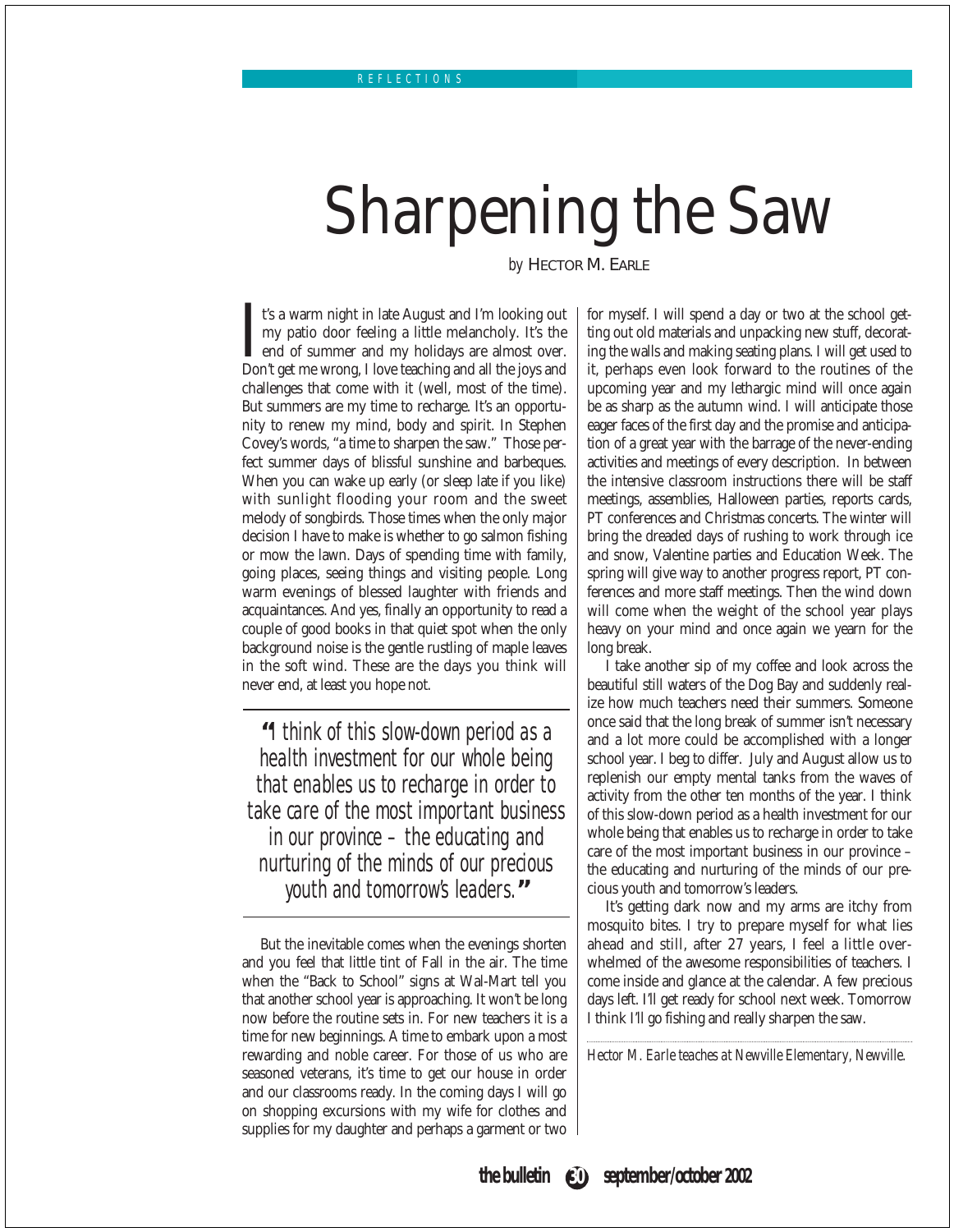# Sharpening the Saw

*by* HECTOR M. EARLE

It's a warm night in late August and I'm looking out my patio door feeling a little melancholy. It's the end of summer and my holidays are almost over.<br>Don't get me wrong, I love teaching and all the joys and t's a warm night in late August and I'm looking out my patio door feeling a little melancholy. It's the end of summer and my holidays are almost over. challenges that come with it (well, most of the time). But summers are my time to recharge. It's an opportunity to renew my mind, body and spirit. In Stephen Covey's words, "a time to sharpen the saw." Those perfect summer days of blissful sunshine and barbeques. When you can wake up early (or sleep late if you like) with sunlight flooding your room and the sweet melody of songbirds. Those times when the only major decision I have to make is whether to go salmon fishing or mow the lawn. Days of spending time with family, going places, seeing things and visiting people. Long warm evenings of blessed laughter with friends and acquaintances. And yes, finally an opportunity to read a couple of good books in that quiet spot when the only background noise is the gentle rustling of maple leaves in the soft wind. These are the days you think will never end, at least you hope not.

**"**I think of this slow-down period as a health investment for our whole being that enables us to recharge in order to take care of the most important business in our province – the educating and nurturing of the minds of our precious youth and tomorrow's leaders.**"**

But the inevitable comes when the evenings shorten and you feel that little tint of Fall in the air. The time when the "Back to School" signs at Wal-Mart tell you that another school year is approaching. It won't be long now before the routine sets in. For new teachers it is a time for new beginnings. A time to embark upon a most rewarding and noble career. For those of us who are seasoned veterans, it's time to get our house in order and our classrooms ready. In the coming days I will go on shopping excursions with my wife for clothes and supplies for my daughter and perhaps a garment or two

for myself. I will spend a day or two at the school getting out old materials and unpacking new stuff, decorating the walls and making seating plans. I will get used to it, perhaps even look forward to the routines of the upcoming year and my lethargic mind will once again be as sharp as the autumn wind. I will anticipate those eager faces of the first day and the promise and anticipation of a great year with the barrage of the never-ending activities and meetings of every description. In between the intensive classroom instructions there will be staff meetings, assemblies, Halloween parties, reports cards, PT conferences and Christmas concerts. The winter will bring the dreaded days of rushing to work through ice and snow, Valentine parties and Education Week. The spring will give way to another progress report, PT conferences and more staff meetings. Then the wind down will come when the weight of the school year plays heavy on your mind and once again we yearn for the long break.

I take another sip of my coffee and look across the beautiful still waters of the Dog Bay and suddenly realize how much teachers need their summers. Someone once said that the long break of summer isn't necessary and a lot more could be accomplished with a longer school year. I beg to differ. July and August allow us to replenish our empty mental tanks from the waves of activity from the other ten months of the year. I think of this slow-down period as a health investment for our whole being that enables us to recharge in order to take care of the most important business in our province – the educating and nurturing of the minds of our precious youth and tomorrow's leaders.

It's getting dark now and my arms are itchy from mosquito bites. I try to prepare myself for what lies ahead and still, after 27 years, I feel a little overwhelmed of the awesome responsibilities of teachers. I come inside and glance at the calendar. A few precious days left. I'll get ready for school next week. Tomorrow I think I'll go fishing and really sharpen the saw.

*Hector M. Earle teaches at Newville Elementary, Newville.*

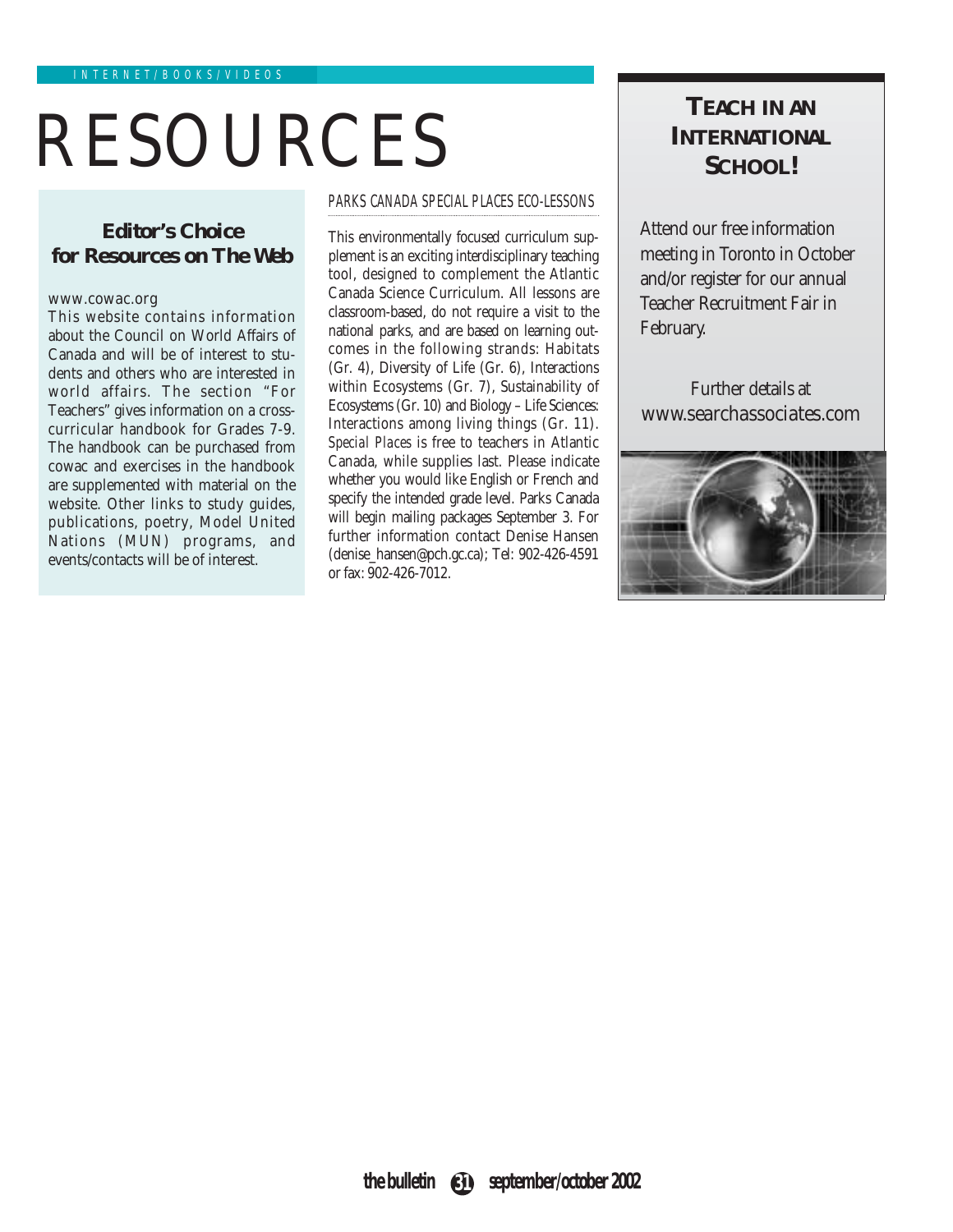# RESOURCES **INTERNATIONA**

### *Editor's Choice* **for Resources on The Web**

### www.cowac.org

This website contains information about the Council on World Affairs of Canada and will be of interest to students and others who are interested in world affairs. The section "For Teachers" gives information on a crosscurricular handbook for Grades 7-9. The handbook can be purchased from cowac and exercises in the handbook are supplemented with material on the website. Other links to study guides, publications, poetry, Model United Nations (MUN) programs, and events/contacts will be of interest.

### PARKS CANADA SPECIAL PLACES ECO-LESSONS

This environmentally focused curriculum supplement is an exciting interdisciplinary teaching tool, designed to complement the Atlantic Canada Science Curriculum. All lessons are classroom-based, do not require a visit to the national parks, and are based on learning outcomes in the following strands: Habitats (Gr. 4), Diversity of Life (Gr. 6), Interactions within Ecosystems (Gr. 7), Sustainability of Ecosystems (Gr. 10) and Biology – Life Sciences: Interactions among living things (Gr. 11). *Special Places* is free to teachers in Atlantic Canada, while supplies last. Please indicate whether you would like English or French and specify the intended grade level. Parks Canada will begin mailing packages September 3. For further information contact Denise Hansen (denise\_hansen@pch.gc.ca); Tel: 902-426-4591 or fax: 902-426-7012.

# **INTERNATIONAL SCHOOL!**

Attend our free information meeting in Toronto in October and/or register for our annual Teacher Recruitment Fair in February.

Further details at www.searchassociates.com